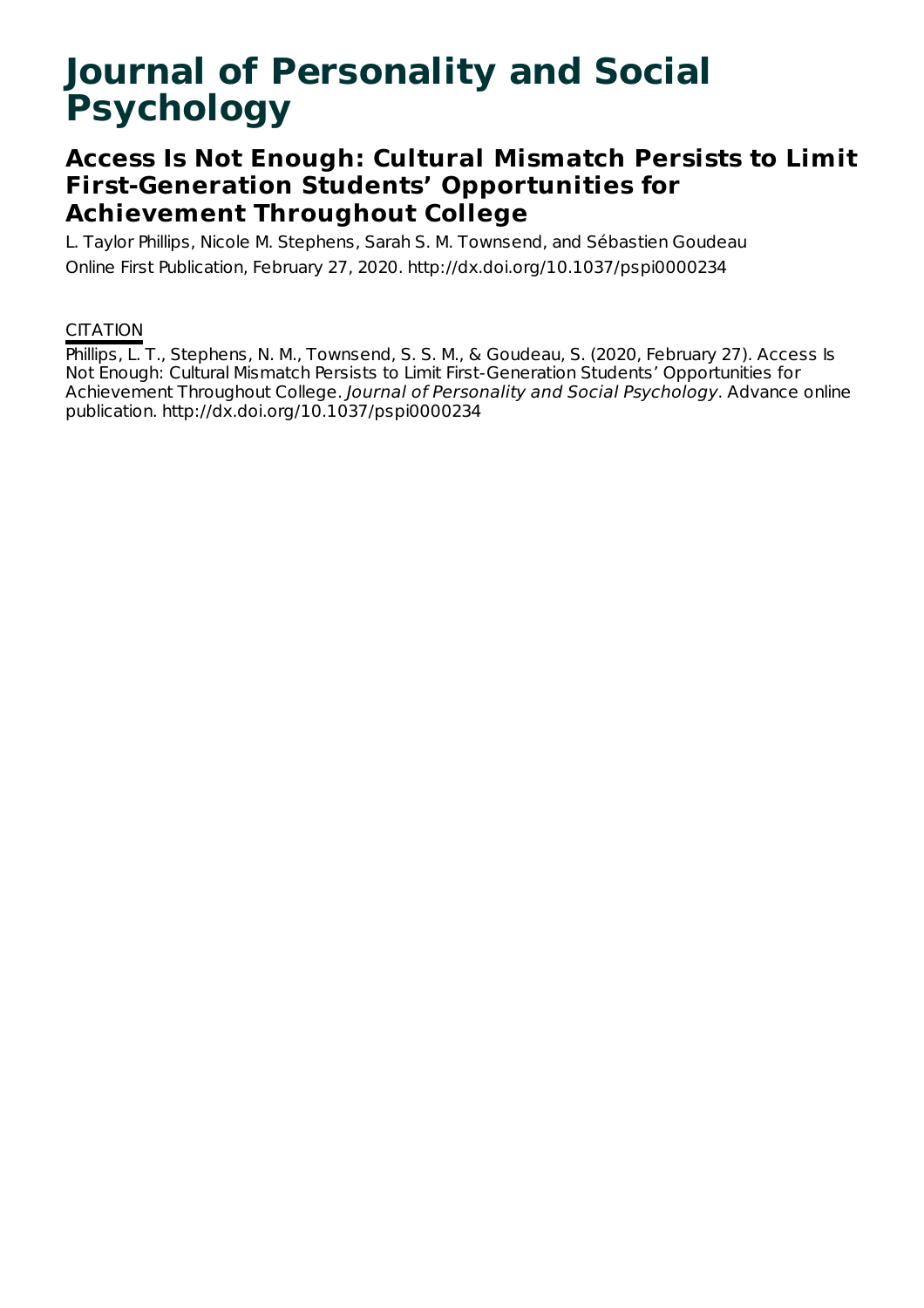# **Journal of Personality and Social Psychology**

### **Access Is Not Enough: Cultural Mismatch Persists to Limit First-Generation Students' Opportunities for Achievement Throughout College**

L. Taylor Phillips, Nicole M. Stephens, Sarah S. M. Townsend, and Sébastien Goudeau Online First Publication, February 27, 2020. http://dx.doi.org/10.1037/pspi0000234

### **CITATION**

Phillips, L. T., Stephens, N. M., Townsend, S. S. M., & Goudeau, S. (2020, February 27). Access Is Not Enough: Cultural Mismatch Persists to Limit First-Generation Students' Opportunities for Achievement Throughout College. Journal of Personality and Social Psychology. Advance online publication. http://dx.doi.org/10.1037/pspi0000234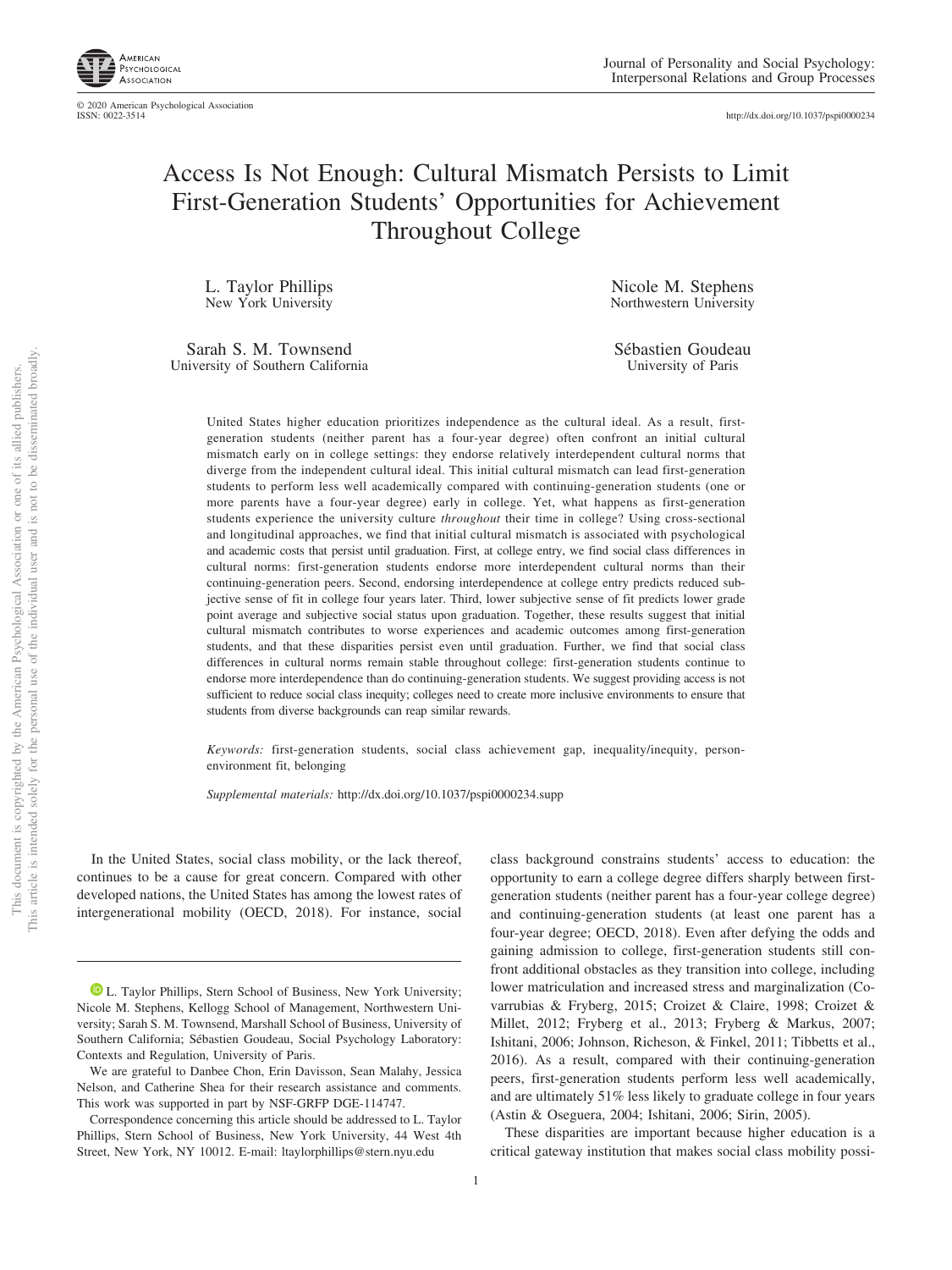

© 2020 American Psychological Association ISSN: 0022-3514

http://dx.doi.org[/10.1037/pspi0000234](http://dx.doi.org/10.1037/pspi0000234)

## Access Is Not Enough: Cultural Mismatch Persists to Limit First-Generation Students' Opportunities for Achievement Throughout College

L. Taylor Phillips New York University

Sarah S. M. Townsend University of Southern California

Nicole M. Stephens Northwestern University

Sébastien Goudeau University of Paris

United States higher education prioritizes independence as the cultural ideal. As a result, firstgeneration students (neither parent has a four-year degree) often confront an initial cultural mismatch early on in college settings: they endorse relatively interdependent cultural norms that diverge from the independent cultural ideal. This initial cultural mismatch can lead first-generation students to perform less well academically compared with continuing-generation students (one or more parents have a four-year degree) early in college. Yet, what happens as first-generation students experience the university culture *throughout* their time in college? Using cross-sectional and longitudinal approaches, we find that initial cultural mismatch is associated with psychological and academic costs that persist until graduation. First, at college entry, we find social class differences in cultural norms: first-generation students endorse more interdependent cultural norms than their continuing-generation peers. Second, endorsing interdependence at college entry predicts reduced subjective sense of fit in college four years later. Third, lower subjective sense of fit predicts lower grade point average and subjective social status upon graduation. Together, these results suggest that initial cultural mismatch contributes to worse experiences and academic outcomes among first-generation students, and that these disparities persist even until graduation. Further, we find that social class differences in cultural norms remain stable throughout college: first-generation students continue to endorse more interdependence than do continuing-generation students. We suggest providing access is not sufficient to reduce social class inequity; colleges need to create more inclusive environments to ensure that students from diverse backgrounds can reap similar rewards.

*Keywords:* first-generation students, social class achievement gap, inequality/inequity, personenvironment fit, belonging

*Supplemental materials:* http://dx.doi.org/10.1037/pspi0000234.supp

In the United States, social class mobility, or the lack thereof, continues to be a cause for great concern. Compared with other developed nations, the United States has among the lowest rates of intergenerational mobility (OECD, 2018). For instance, social class background constrains students' access to education: the opportunity to earn a college degree differs sharply between firstgeneration students (neither parent has a four-year college degree) and continuing-generation students (at least one parent has a four-year degree; OECD, 2018). Even after defying the odds and gaining admission to college, first-generation students still confront additional obstacles as they transition into college, including lower matriculation and increased stress and marginalization (Covarrubias & Fryberg, 2015; Croizet & Claire, 1998; Croizet & Millet, 2012; Fryberg et al., 2013; Fryberg & Markus, 2007; Ishitani, 2006; Johnson, Richeson, & Finkel, 2011; Tibbetts et al., 2016). As a result, compared with their continuing-generation peers, first-generation students perform less well academically, and are ultimately 51% less likely to graduate college in four years (Astin & Oseguera, 2004; Ishitani, 2006; Sirin, 2005).

These disparities are important because higher education is a critical gateway institution that makes social class mobility possi-

**D** [L. Taylor Phillips,](https://orcid.org/0000-0003-4655-6904) Stern School of Business, New York University; Nicole M. Stephens, Kellogg School of Management, Northwestern University; Sarah S. M. Townsend, Marshall School of Business, University of Southern California; Sébastien Goudeau, Social Psychology Laboratory: Contexts and Regulation, University of Paris.

We are grateful to Danbee Chon, Erin Davisson, Sean Malahy, Jessica Nelson, and Catherine Shea for their research assistance and comments. This work was supported in part by NSF-GRFP DGE-114747.

Correspondence concerning this article should be addressed to L. Taylor Phillips, Stern School of Business, New York University, 44 West 4th Street, New York, NY 10012. E-mail: [ltaylorphillips@stern.nyu.edu](mailto:ltaylorphillips@stern.nyu.edu)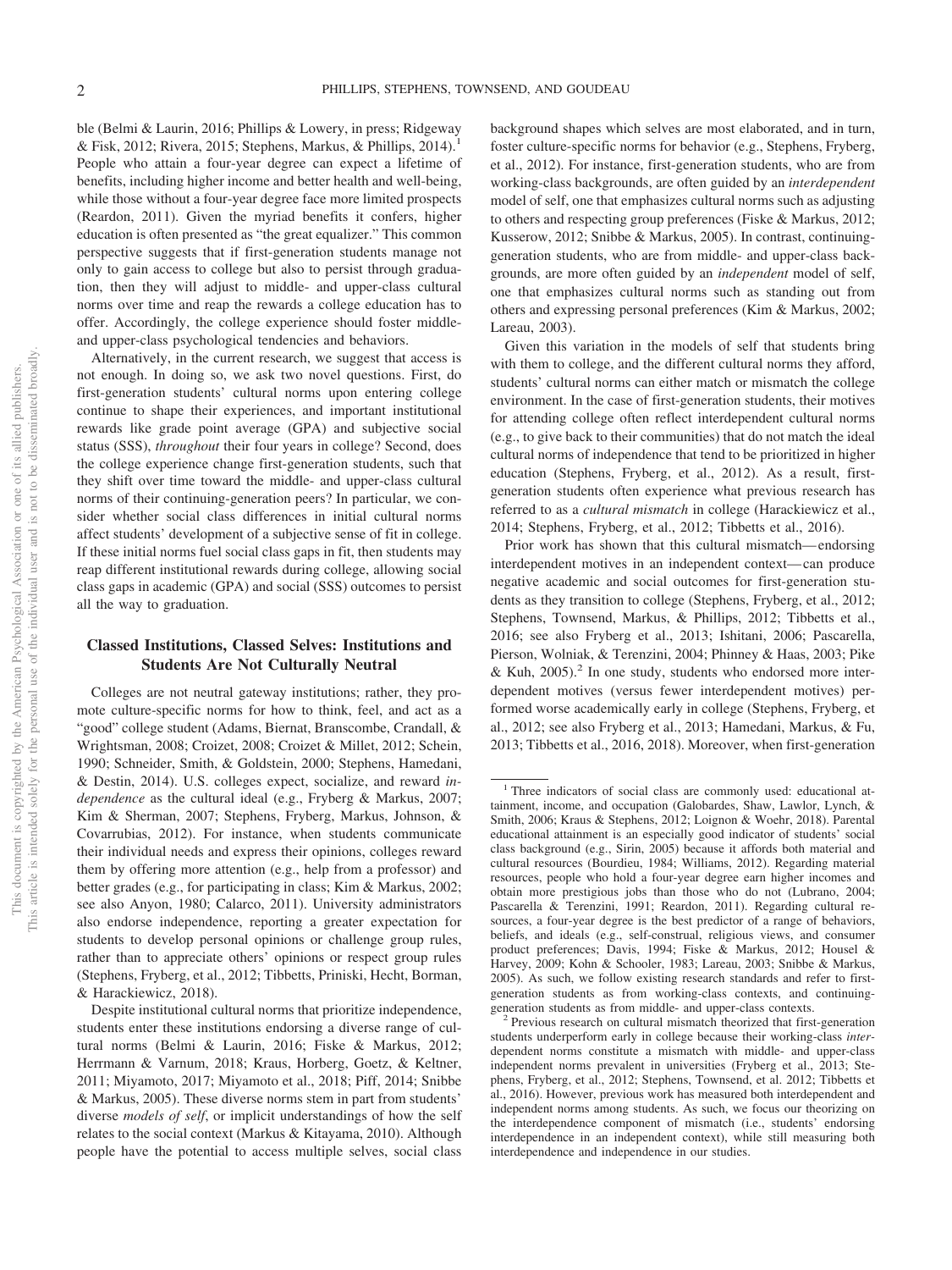ble (Belmi & Laurin, 2016; Phillips & Lowery, in press; Ridgeway & Fisk, 2012; Rivera, 2015; Stephens, Markus, & Phillips, 2014).<sup>1</sup> People who attain a four-year degree can expect a lifetime of benefits, including higher income and better health and well-being, while those without a four-year degree face more limited prospects (Reardon, 2011). Given the myriad benefits it confers, higher education is often presented as "the great equalizer." This common perspective suggests that if first-generation students manage not only to gain access to college but also to persist through graduation, then they will adjust to middle- and upper-class cultural norms over time and reap the rewards a college education has to offer. Accordingly, the college experience should foster middleand upper-class psychological tendencies and behaviors.

Alternatively, in the current research, we suggest that access is not enough. In doing so, we ask two novel questions. First, do first-generation students' cultural norms upon entering college continue to shape their experiences, and important institutional rewards like grade point average (GPA) and subjective social status (SSS), *throughout* their four years in college? Second, does the college experience change first-generation students, such that they shift over time toward the middle- and upper-class cultural norms of their continuing-generation peers? In particular, we consider whether social class differences in initial cultural norms affect students' development of a subjective sense of fit in college. If these initial norms fuel social class gaps in fit, then students may reap different institutional rewards during college, allowing social class gaps in academic (GPA) and social (SSS) outcomes to persist all the way to graduation.

#### **Classed Institutions, Classed Selves: Institutions and Students Are Not Culturally Neutral**

Colleges are not neutral gateway institutions; rather, they promote culture-specific norms for how to think, feel, and act as a "good" college student (Adams, Biernat, Branscombe, Crandall, & Wrightsman, 2008; Croizet, 2008; Croizet & Millet, 2012; Schein, 1990; Schneider, Smith, & Goldstein, 2000; Stephens, Hamedani, & Destin, 2014). U.S. colleges expect, socialize, and reward *independence* as the cultural ideal (e.g., Fryberg & Markus, 2007; Kim & Sherman, 2007; Stephens, Fryberg, Markus, Johnson, & Covarrubias, 2012). For instance, when students communicate their individual needs and express their opinions, colleges reward them by offering more attention (e.g., help from a professor) and better grades (e.g., for participating in class; Kim & Markus, 2002; see also Anyon, 1980; Calarco, 2011). University administrators also endorse independence, reporting a greater expectation for students to develop personal opinions or challenge group rules, rather than to appreciate others' opinions or respect group rules (Stephens, Fryberg, et al., 2012; Tibbetts, Priniski, Hecht, Borman, & Harackiewicz, 2018).

background shapes which selves are most elaborated, and in turn, foster culture-specific norms for behavior (e.g., Stephens, Fryberg, et al., 2012). For instance, first-generation students, who are from working-class backgrounds, are often guided by an *interdependent* model of self, one that emphasizes cultural norms such as adjusting to others and respecting group preferences (Fiske & Markus, 2012; Kusserow, 2012; Snibbe & Markus, 2005). In contrast, continuinggeneration students, who are from middle- and upper-class backgrounds, are more often guided by an *independent* model of self, one that emphasizes cultural norms such as standing out from others and expressing personal preferences (Kim & Markus, 2002; Lareau, 2003).

Given this variation in the models of self that students bring with them to college, and the different cultural norms they afford, students' cultural norms can either match or mismatch the college environment. In the case of first-generation students, their motives for attending college often reflect interdependent cultural norms (e.g., to give back to their communities) that do not match the ideal cultural norms of independence that tend to be prioritized in higher education (Stephens, Fryberg, et al., 2012). As a result, firstgeneration students often experience what previous research has referred to as a *cultural mismatch* in college (Harackiewicz et al., 2014; Stephens, Fryberg, et al., 2012; Tibbetts et al., 2016).

Prior work has shown that this cultural mismatch— endorsing interdependent motives in an independent context— can produce negative academic and social outcomes for first-generation students as they transition to college (Stephens, Fryberg, et al., 2012; Stephens, Townsend, Markus, & Phillips, 2012; Tibbetts et al., 2016; see also Fryberg et al., 2013; Ishitani, 2006; Pascarella, Pierson, Wolniak, & Terenzini, 2004; Phinney & Haas, 2003; Pike & Kuh,  $2005$ ).<sup>2</sup> In one study, students who endorsed more interdependent motives (versus fewer interdependent motives) performed worse academically early in college (Stephens, Fryberg, et al., 2012; see also Fryberg et al., 2013; Hamedani, Markus, & Fu, 2013; Tibbetts et al., 2016, 2018). Moreover, when first-generation

Despite institutional cultural norms that prioritize independence, students enter these institutions endorsing a diverse range of cultural norms (Belmi & Laurin, 2016; Fiske & Markus, 2012; Herrmann & Varnum, 2018; Kraus, Horberg, Goetz, & Keltner, 2011; Miyamoto, 2017; Miyamoto et al., 2018; Piff, 2014; Snibbe & Markus, 2005). These diverse norms stem in part from students' diverse *models of self*, or implicit understandings of how the self relates to the social context (Markus & Kitayama, 2010). Although people have the potential to access multiple selves, social class

<sup>&</sup>lt;sup>1</sup> Three indicators of social class are commonly used: educational attainment, income, and occupation (Galobardes, Shaw, Lawlor, Lynch, & Smith, 2006; Kraus & Stephens, 2012; Loignon & Woehr, 2018). Parental educational attainment is an especially good indicator of students' social class background (e.g., Sirin, 2005) because it affords both material and cultural resources (Bourdieu, 1984; Williams, 2012). Regarding material resources, people who hold a four-year degree earn higher incomes and obtain more prestigious jobs than those who do not (Lubrano, 2004; Pascarella & Terenzini, 1991; Reardon, 2011). Regarding cultural resources, a four-year degree is the best predictor of a range of behaviors, beliefs, and ideals (e.g., self-construal, religious views, and consumer product preferences; Davis, 1994; Fiske & Markus, 2012; Housel & Harvey, 2009; Kohn & Schooler, 1983; Lareau, 2003; Snibbe & Markus, 2005). As such, we follow existing research standards and refer to firstgeneration students as from working-class contexts, and continuinggeneration students as from middle- and upper-class contexts. <sup>2</sup> Previous research on cultural mismatch theorized that first-generation

students underperform early in college because their working-class *inter*dependent norms constitute a mismatch with middle- and upper-class independent norms prevalent in universities (Fryberg et al., 2013; Stephens, Fryberg, et al., 2012; Stephens, Townsend, et al. 2012; Tibbetts et al., 2016). However, previous work has measured both interdependent and independent norms among students. As such, we focus our theorizing on the interdependence component of mismatch (i.e., students' endorsing interdependence in an independent context), while still measuring both interdependence and independence in our studies.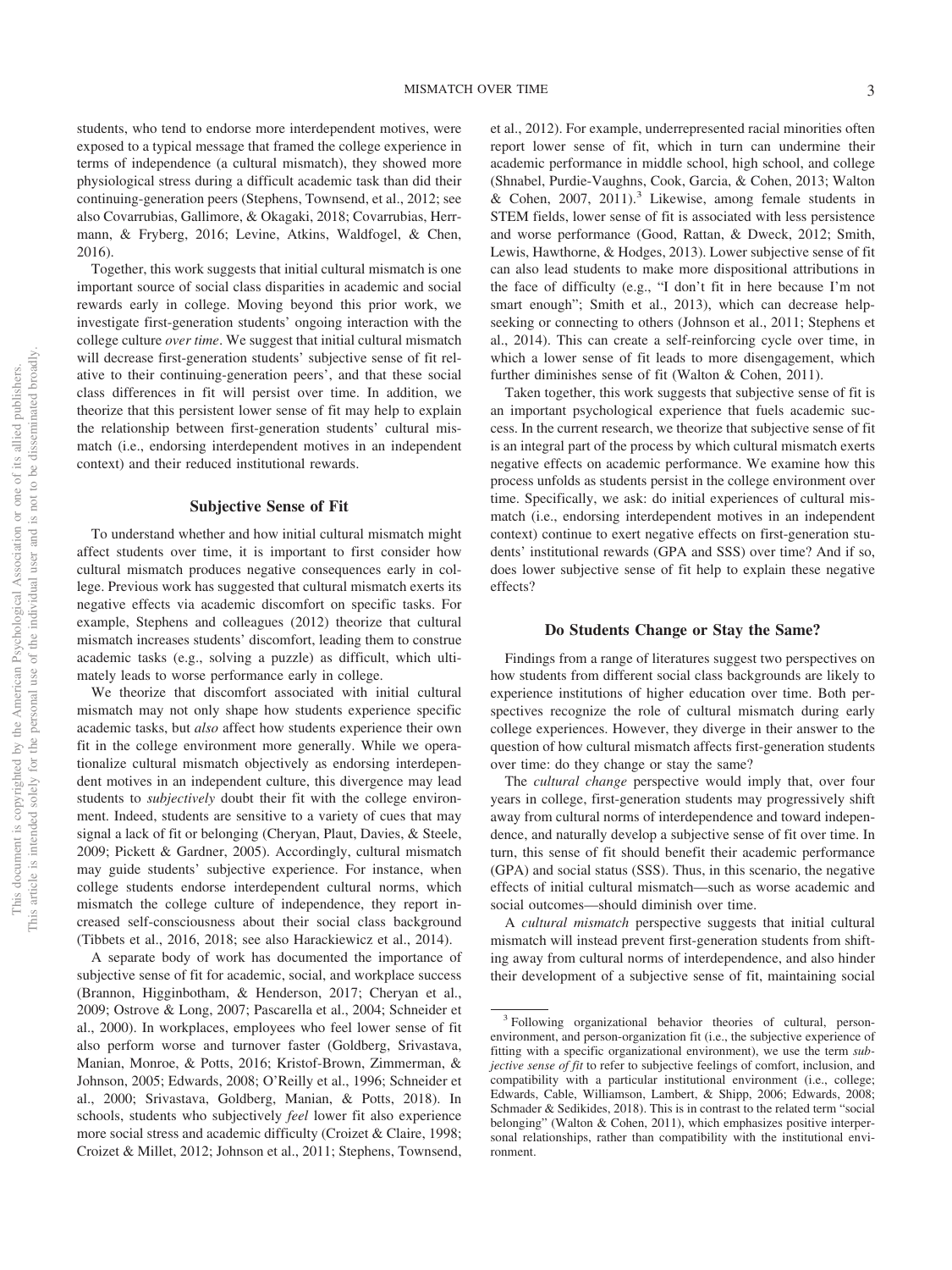students, who tend to endorse more interdependent motives, were exposed to a typical message that framed the college experience in terms of independence (a cultural mismatch), they showed more physiological stress during a difficult academic task than did their continuing-generation peers (Stephens, Townsend, et al., 2012; see also Covarrubias, Gallimore, & Okagaki, 2018; Covarrubias, Herrmann, & Fryberg, 2016; Levine, Atkins, Waldfogel, & Chen, 2016).

Together, this work suggests that initial cultural mismatch is one important source of social class disparities in academic and social rewards early in college. Moving beyond this prior work, we investigate first-generation students' ongoing interaction with the college culture *over time*. We suggest that initial cultural mismatch will decrease first-generation students' subjective sense of fit relative to their continuing-generation peers', and that these social class differences in fit will persist over time. In addition, we theorize that this persistent lower sense of fit may help to explain the relationship between first-generation students' cultural mismatch (i.e., endorsing interdependent motives in an independent context) and their reduced institutional rewards.

#### **Subjective Sense of Fit**

To understand whether and how initial cultural mismatch might affect students over time, it is important to first consider how cultural mismatch produces negative consequences early in college. Previous work has suggested that cultural mismatch exerts its negative effects via academic discomfort on specific tasks. For example, Stephens and colleagues (2012) theorize that cultural mismatch increases students' discomfort, leading them to construe academic tasks (e.g., solving a puzzle) as difficult, which ultimately leads to worse performance early in college.

We theorize that discomfort associated with initial cultural mismatch may not only shape how students experience specific academic tasks, but *also* affect how students experience their own fit in the college environment more generally. While we operationalize cultural mismatch objectively as endorsing interdependent motives in an independent culture, this divergence may lead students to *subjectively* doubt their fit with the college environment. Indeed, students are sensitive to a variety of cues that may signal a lack of fit or belonging (Cheryan, Plaut, Davies, & Steele, 2009; Pickett & Gardner, 2005). Accordingly, cultural mismatch may guide students' subjective experience. For instance, when college students endorse interdependent cultural norms, which mismatch the college culture of independence, they report increased self-consciousness about their social class background (Tibbets et al., 2016, 2018; see also Harackiewicz et al., 2014).

A separate body of work has documented the importance of subjective sense of fit for academic, social, and workplace success (Brannon, Higginbotham, & Henderson, 2017; Cheryan et al., 2009; Ostrove & Long, 2007; Pascarella et al., 2004; Schneider et al., 2000). In workplaces, employees who feel lower sense of fit also perform worse and turnover faster (Goldberg, Srivastava, Manian, Monroe, & Potts, 2016; Kristof-Brown, Zimmerman, & Johnson, 2005; Edwards, 2008; O'Reilly et al., 1996; Schneider et al., 2000; Srivastava, Goldberg, Manian, & Potts, 2018). In schools, students who subjectively *feel* lower fit also experience more social stress and academic difficulty (Croizet & Claire, 1998; Croizet & Millet, 2012; Johnson et al., 2011; Stephens, Townsend,

et al., 2012). For example, underrepresented racial minorities often report lower sense of fit, which in turn can undermine their academic performance in middle school, high school, and college (Shnabel, Purdie-Vaughns, Cook, Garcia, & Cohen, 2013; Walton & Cohen,  $2007$ ,  $2011$ ).<sup>3</sup> Likewise, among female students in STEM fields, lower sense of fit is associated with less persistence and worse performance (Good, Rattan, & Dweck, 2012; Smith, Lewis, Hawthorne, & Hodges, 2013). Lower subjective sense of fit can also lead students to make more dispositional attributions in the face of difficulty (e.g., "I don't fit in here because I'm not smart enough"; Smith et al., 2013), which can decrease helpseeking or connecting to others (Johnson et al., 2011; Stephens et al., 2014). This can create a self-reinforcing cycle over time, in which a lower sense of fit leads to more disengagement, which further diminishes sense of fit (Walton & Cohen, 2011).

Taken together, this work suggests that subjective sense of fit is an important psychological experience that fuels academic success. In the current research, we theorize that subjective sense of fit is an integral part of the process by which cultural mismatch exerts negative effects on academic performance. We examine how this process unfolds as students persist in the college environment over time. Specifically, we ask: do initial experiences of cultural mismatch (i.e., endorsing interdependent motives in an independent context) continue to exert negative effects on first-generation students' institutional rewards (GPA and SSS) over time? And if so, does lower subjective sense of fit help to explain these negative effects?

#### **Do Students Change or Stay the Same?**

Findings from a range of literatures suggest two perspectives on how students from different social class backgrounds are likely to experience institutions of higher education over time. Both perspectives recognize the role of cultural mismatch during early college experiences. However, they diverge in their answer to the question of how cultural mismatch affects first-generation students over time: do they change or stay the same?

The *cultural change* perspective would imply that, over four years in college, first-generation students may progressively shift away from cultural norms of interdependence and toward independence, and naturally develop a subjective sense of fit over time. In turn, this sense of fit should benefit their academic performance (GPA) and social status (SSS). Thus, in this scenario, the negative effects of initial cultural mismatch—such as worse academic and social outcomes—should diminish over time.

A *cultural mismatch* perspective suggests that initial cultural mismatch will instead prevent first-generation students from shifting away from cultural norms of interdependence, and also hinder their development of a subjective sense of fit, maintaining social

<sup>3</sup> Following organizational behavior theories of cultural, personenvironment, and person-organization fit (i.e., the subjective experience of fitting with a specific organizational environment), we use the term *subjective sense of fit* to refer to subjective feelings of comfort, inclusion, and compatibility with a particular institutional environment (i.e., college; Edwards, Cable, Williamson, Lambert, & Shipp, 2006; Edwards, 2008; Schmader & Sedikides, 2018). This is in contrast to the related term "social belonging" (Walton & Cohen, 2011), which emphasizes positive interpersonal relationships, rather than compatibility with the institutional environment.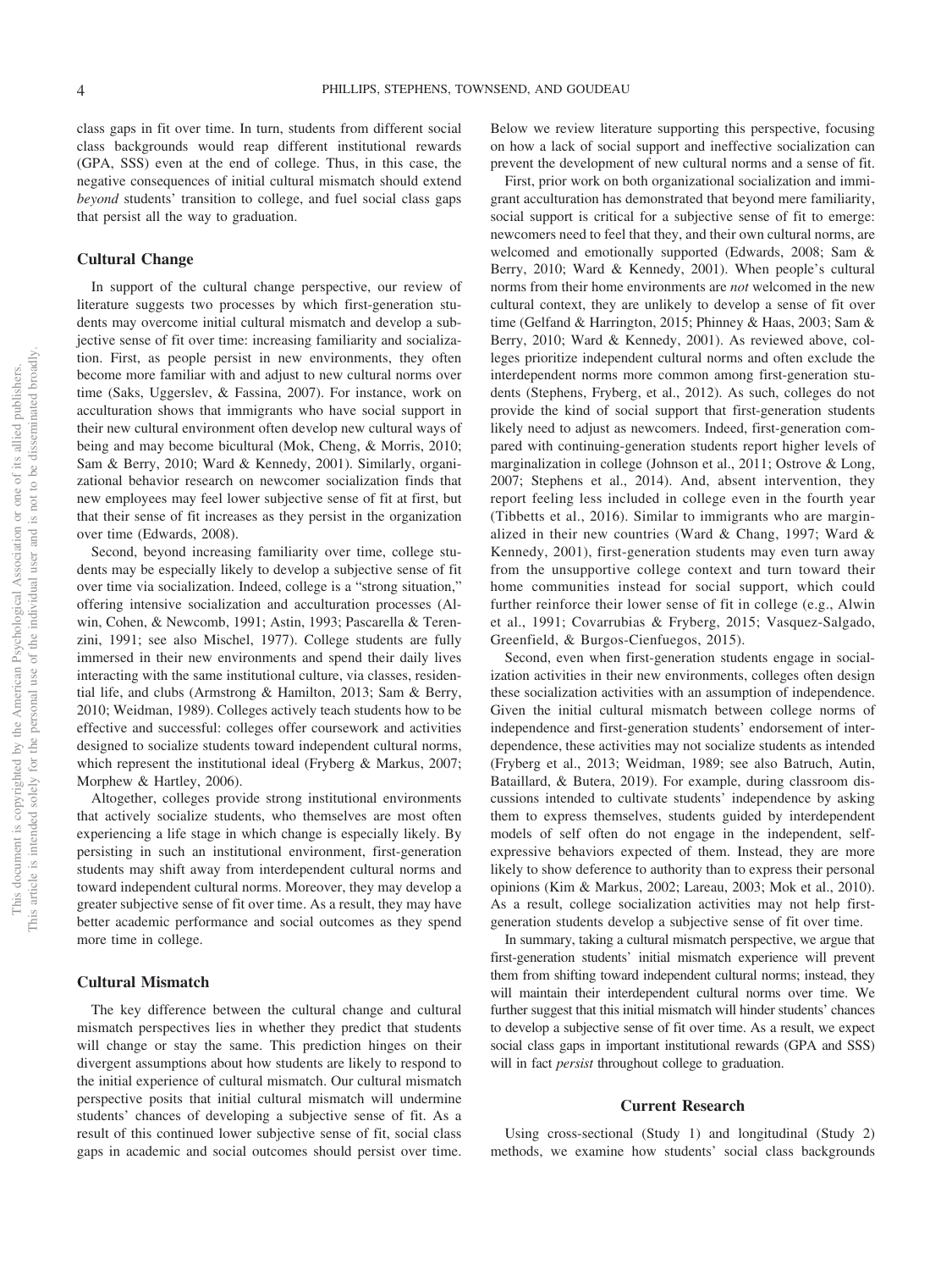class gaps in fit over time. In turn, students from different social class backgrounds would reap different institutional rewards (GPA, SSS) even at the end of college. Thus, in this case, the negative consequences of initial cultural mismatch should extend *beyond* students' transition to college, and fuel social class gaps that persist all the way to graduation.

#### **Cultural Change**

In support of the cultural change perspective, our review of literature suggests two processes by which first-generation students may overcome initial cultural mismatch and develop a subjective sense of fit over time: increasing familiarity and socialization. First, as people persist in new environments, they often become more familiar with and adjust to new cultural norms over time (Saks, Uggerslev, & Fassina, 2007). For instance, work on acculturation shows that immigrants who have social support in their new cultural environment often develop new cultural ways of being and may become bicultural (Mok, Cheng, & Morris, 2010; Sam & Berry, 2010; Ward & Kennedy, 2001). Similarly, organizational behavior research on newcomer socialization finds that new employees may feel lower subjective sense of fit at first, but that their sense of fit increases as they persist in the organization over time (Edwards, 2008).

Second, beyond increasing familiarity over time, college students may be especially likely to develop a subjective sense of fit over time via socialization. Indeed, college is a "strong situation," offering intensive socialization and acculturation processes (Alwin, Cohen, & Newcomb, 1991; Astin, 1993; Pascarella & Terenzini, 1991; see also Mischel, 1977). College students are fully immersed in their new environments and spend their daily lives interacting with the same institutional culture, via classes, residential life, and clubs (Armstrong & Hamilton, 2013; Sam & Berry, 2010; Weidman, 1989). Colleges actively teach students how to be effective and successful: colleges offer coursework and activities designed to socialize students toward independent cultural norms, which represent the institutional ideal (Fryberg & Markus, 2007; Morphew & Hartley, 2006).

Altogether, colleges provide strong institutional environments that actively socialize students, who themselves are most often experiencing a life stage in which change is especially likely. By persisting in such an institutional environment, first-generation students may shift away from interdependent cultural norms and toward independent cultural norms. Moreover, they may develop a greater subjective sense of fit over time. As a result, they may have better academic performance and social outcomes as they spend more time in college.

#### **Cultural Mismatch**

The key difference between the cultural change and cultural mismatch perspectives lies in whether they predict that students will change or stay the same. This prediction hinges on their divergent assumptions about how students are likely to respond to the initial experience of cultural mismatch. Our cultural mismatch perspective posits that initial cultural mismatch will undermine students' chances of developing a subjective sense of fit. As a result of this continued lower subjective sense of fit, social class gaps in academic and social outcomes should persist over time.

Below we review literature supporting this perspective, focusing on how a lack of social support and ineffective socialization can prevent the development of new cultural norms and a sense of fit.

First, prior work on both organizational socialization and immigrant acculturation has demonstrated that beyond mere familiarity, social support is critical for a subjective sense of fit to emerge: newcomers need to feel that they, and their own cultural norms, are welcomed and emotionally supported (Edwards, 2008; Sam & Berry, 2010; Ward & Kennedy, 2001). When people's cultural norms from their home environments are *not* welcomed in the new cultural context, they are unlikely to develop a sense of fit over time (Gelfand & Harrington, 2015; Phinney & Haas, 2003; Sam & Berry, 2010; Ward & Kennedy, 2001). As reviewed above, colleges prioritize independent cultural norms and often exclude the interdependent norms more common among first-generation students (Stephens, Fryberg, et al., 2012). As such, colleges do not provide the kind of social support that first-generation students likely need to adjust as newcomers. Indeed, first-generation compared with continuing-generation students report higher levels of marginalization in college (Johnson et al., 2011; Ostrove & Long, 2007; Stephens et al., 2014). And, absent intervention, they report feeling less included in college even in the fourth year (Tibbetts et al., 2016). Similar to immigrants who are marginalized in their new countries (Ward & Chang, 1997; Ward & Kennedy, 2001), first-generation students may even turn away from the unsupportive college context and turn toward their home communities instead for social support, which could further reinforce their lower sense of fit in college (e.g., Alwin et al., 1991; Covarrubias & Fryberg, 2015; Vasquez-Salgado, Greenfield, & Burgos-Cienfuegos, 2015).

Second, even when first-generation students engage in socialization activities in their new environments, colleges often design these socialization activities with an assumption of independence. Given the initial cultural mismatch between college norms of independence and first-generation students' endorsement of interdependence, these activities may not socialize students as intended (Fryberg et al., 2013; Weidman, 1989; see also Batruch, Autin, Bataillard, & Butera, 2019). For example, during classroom discussions intended to cultivate students' independence by asking them to express themselves, students guided by interdependent models of self often do not engage in the independent, selfexpressive behaviors expected of them. Instead, they are more likely to show deference to authority than to express their personal opinions (Kim & Markus, 2002; Lareau, 2003; Mok et al., 2010). As a result, college socialization activities may not help firstgeneration students develop a subjective sense of fit over time.

In summary, taking a cultural mismatch perspective, we argue that first-generation students' initial mismatch experience will prevent them from shifting toward independent cultural norms; instead, they will maintain their interdependent cultural norms over time. We further suggest that this initial mismatch will hinder students' chances to develop a subjective sense of fit over time. As a result, we expect social class gaps in important institutional rewards (GPA and SSS) will in fact *persist* throughout college to graduation.

#### **Current Research**

Using cross-sectional (Study 1) and longitudinal (Study 2) methods, we examine how students' social class backgrounds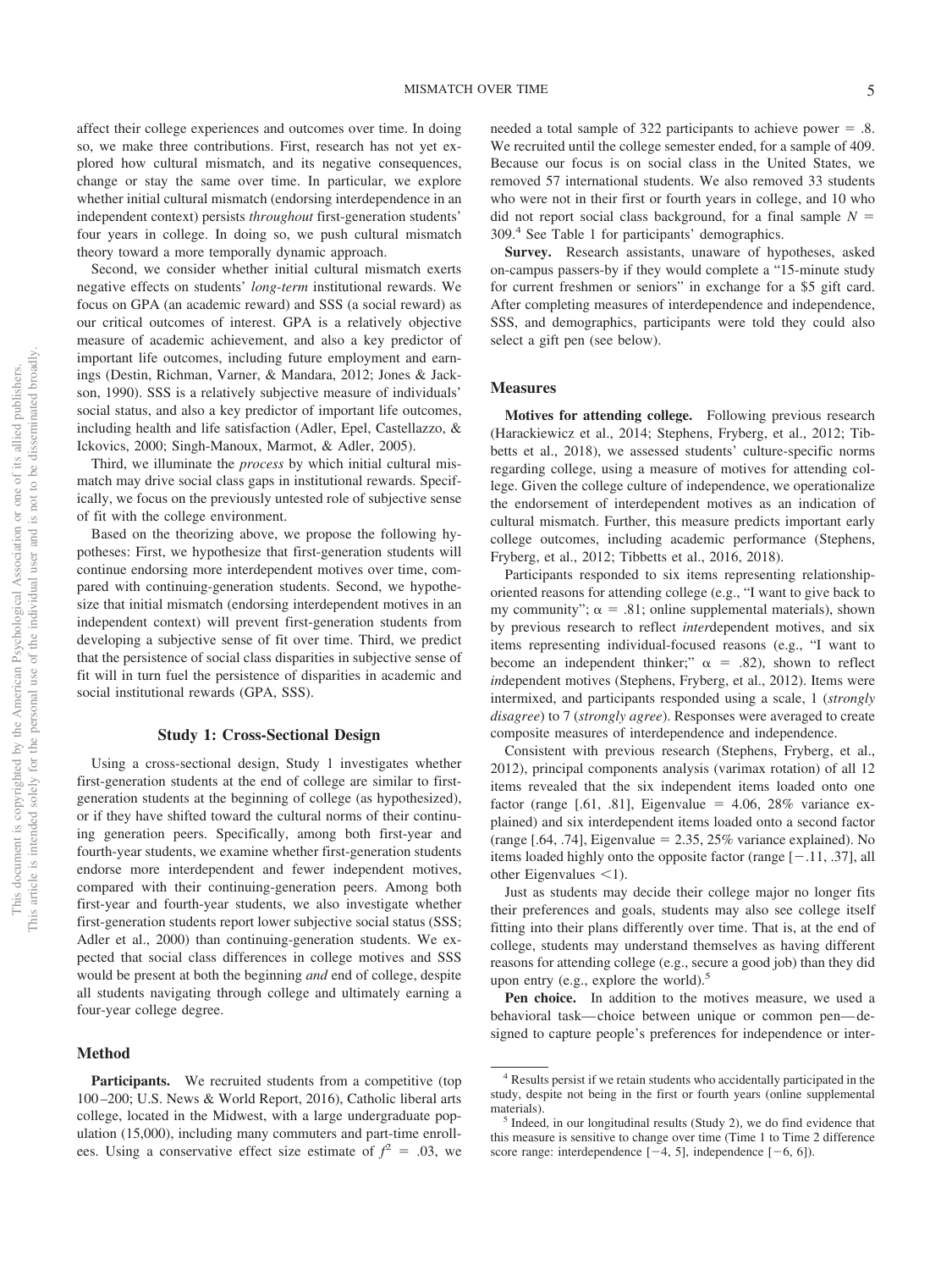affect their college experiences and outcomes over time. In doing so, we make three contributions. First, research has not yet explored how cultural mismatch, and its negative consequences, change or stay the same over time. In particular, we explore whether initial cultural mismatch (endorsing interdependence in an independent context) persists *throughout* first-generation students' four years in college. In doing so, we push cultural mismatch theory toward a more temporally dynamic approach.

Second, we consider whether initial cultural mismatch exerts negative effects on students' *long-term* institutional rewards. We focus on GPA (an academic reward) and SSS (a social reward) as our critical outcomes of interest. GPA is a relatively objective measure of academic achievement, and also a key predictor of important life outcomes, including future employment and earnings (Destin, Richman, Varner, & Mandara, 2012; Jones & Jackson, 1990). SSS is a relatively subjective measure of individuals' social status, and also a key predictor of important life outcomes, including health and life satisfaction (Adler, Epel, Castellazzo, & Ickovics, 2000; Singh-Manoux, Marmot, & Adler, 2005).

Third, we illuminate the *process* by which initial cultural mismatch may drive social class gaps in institutional rewards. Specifically, we focus on the previously untested role of subjective sense of fit with the college environment.

Based on the theorizing above, we propose the following hypotheses: First, we hypothesize that first-generation students will continue endorsing more interdependent motives over time, compared with continuing-generation students. Second, we hypothesize that initial mismatch (endorsing interdependent motives in an independent context) will prevent first-generation students from developing a subjective sense of fit over time. Third, we predict that the persistence of social class disparities in subjective sense of fit will in turn fuel the persistence of disparities in academic and social institutional rewards (GPA, SSS).

#### **Study 1: Cross-Sectional Design**

Using a cross-sectional design, Study 1 investigates whether first-generation students at the end of college are similar to firstgeneration students at the beginning of college (as hypothesized), or if they have shifted toward the cultural norms of their continuing generation peers. Specifically, among both first-year and fourth-year students, we examine whether first-generation students endorse more interdependent and fewer independent motives, compared with their continuing-generation peers. Among both first-year and fourth-year students, we also investigate whether first-generation students report lower subjective social status (SSS; Adler et al., 2000) than continuing-generation students. We expected that social class differences in college motives and SSS would be present at both the beginning *and* end of college, despite all students navigating through college and ultimately earning a four-year college degree.

#### **Method**

Participants. We recruited students from a competitive (top 100 –200; U.S. News & World Report, 2016), Catholic liberal arts college, located in the Midwest, with a large undergraduate population (15,000), including many commuters and part-time enrollees. Using a conservative effect size estimate of  $f^2 = .03$ , we

needed a total sample of  $322$  participants to achieve power = .8. We recruited until the college semester ended, for a sample of 409. Because our focus is on social class in the United States, we removed 57 international students. We also removed 33 students who were not in their first or fourth years in college, and 10 who did not report social class background, for a final sample  $N =$ 309.4 See Table 1 for participants' demographics.

**Survey.** Research assistants, unaware of hypotheses, asked on-campus passers-by if they would complete a "15-minute study for current freshmen or seniors" in exchange for a \$5 gift card. After completing measures of interdependence and independence, SSS, and demographics, participants were told they could also select a gift pen (see below).

#### **Measures**

**Motives for attending college.** Following previous research (Harackiewicz et al., 2014; Stephens, Fryberg, et al., 2012; Tibbetts et al., 2018), we assessed students' culture-specific norms regarding college, using a measure of motives for attending college. Given the college culture of independence, we operationalize the endorsement of interdependent motives as an indication of cultural mismatch. Further, this measure predicts important early college outcomes, including academic performance (Stephens, Fryberg, et al., 2012; Tibbetts et al., 2016, 2018).

Participants responded to six items representing relationshiporiented reasons for attending college (e.g., "I want to give back to my community";  $\alpha = .81$ ; [online supplemental materials\)](http://dx.doi.org/10.1037/pspi0000234.supp), shown by previous research to reflect *inter*dependent motives, and six items representing individual-focused reasons (e.g., "I want to become an independent thinker;"  $\alpha$  = .82), shown to reflect *in*dependent motives (Stephens, Fryberg, et al., 2012). Items were intermixed, and participants responded using a scale, 1 (*strongly disagree*) to 7 (*strongly agree*). Responses were averaged to create composite measures of interdependence and independence.

Consistent with previous research (Stephens, Fryberg, et al., 2012), principal components analysis (varimax rotation) of all 12 items revealed that the six independent items loaded onto one factor (range  $[0.61, 0.81]$ , Eigenvalue = 4.06, 28% variance explained) and six interdependent items loaded onto a second factor  $(\text{range } [.64, .74],$  Eigenvalue = 2.35, 25% variance explained). No items loaded highly onto the opposite factor (range  $[-.11, .37]$ , all other Eigenvalues  $\leq 1$ ).

Just as students may decide their college major no longer fits their preferences and goals, students may also see college itself fitting into their plans differently over time. That is, at the end of college, students may understand themselves as having different reasons for attending college (e.g., secure a good job) than they did upon entry (e.g., explore the world).<sup>5</sup>

**Pen choice.** In addition to the motives measure, we used a behavioral task— choice between unique or common pen— designed to capture people's preferences for independence or inter-

<sup>4</sup> Results persist if we retain students who accidentally participated in the study, despite not being in the first or fourth years [\(online supplemental](http://dx.doi.org/10.1037/pspi0000234.supp) [materials\)](http://dx.doi.org/10.1037/pspi0000234.supp).<br><sup>5</sup> Indeed, in our longitudinal results (Study 2), we do find evidence that

this measure is sensitive to change over time (Time 1 to Time 2 difference score range: interdependence  $[-4, 5]$ , independence  $[-6, 6]$ ).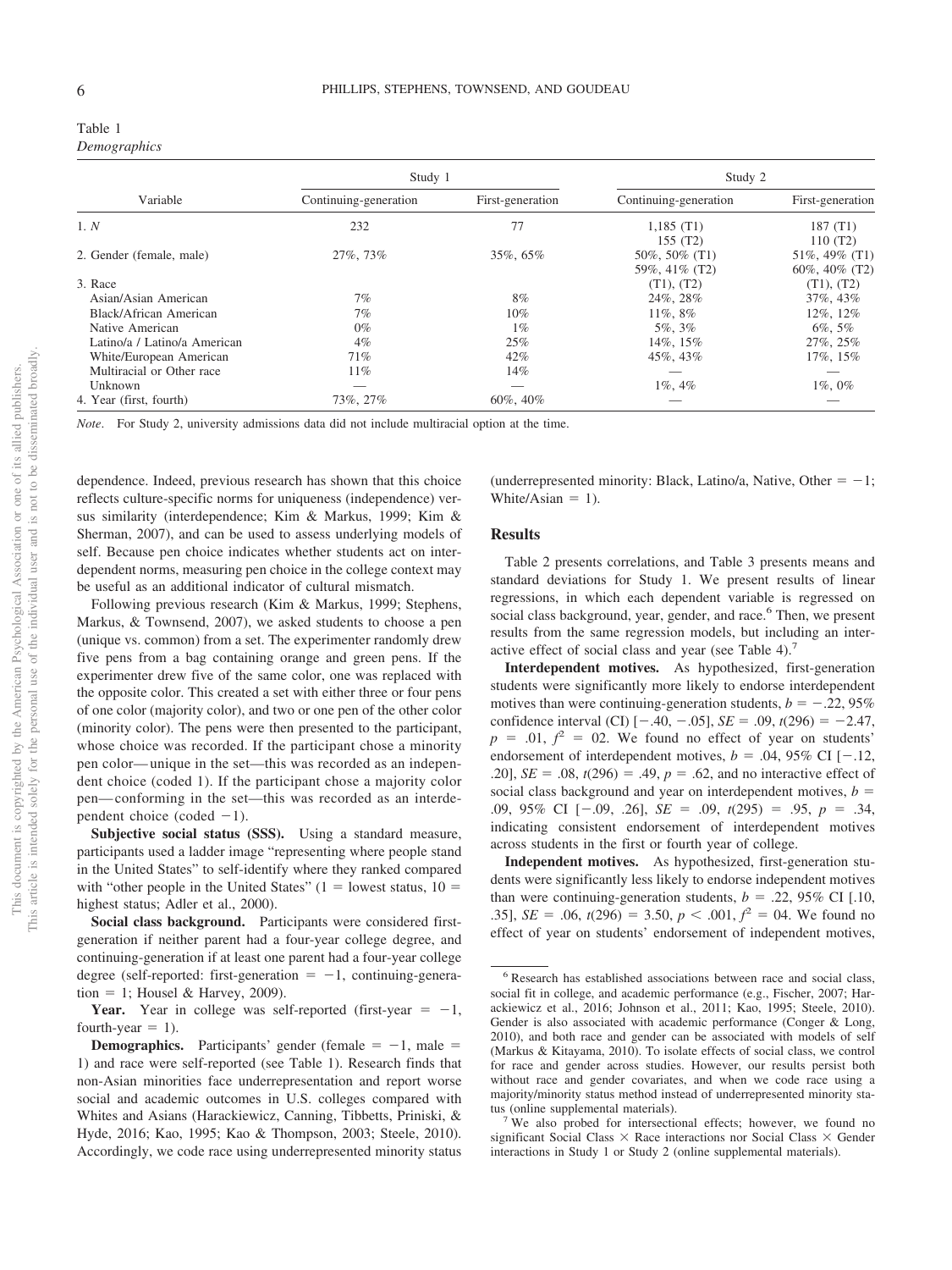| Table 1      |
|--------------|
| Demographics |

|                              | Study 1               |                  | Study 2                        |                                        |
|------------------------------|-----------------------|------------------|--------------------------------|----------------------------------------|
| Variable                     | Continuing-generation | First-generation | Continuing-generation          | First-generation                       |
| 1. N                         | 232                   | 77               | 1,185(T1)<br>155 (T2)          | 187(T1)<br>110(T2)                     |
| 2. Gender (female, male)     | 27%, 73%              | 35%, 65%         | 50%, 50% (T1)<br>59%, 41% (T2) | 51\%, 49\% $(T1)$<br>60\%, 40\% $(T2)$ |
| 3. Race                      |                       |                  | (T1), (T2)                     | (T1), (T2)                             |
| Asian/Asian American         | 7%                    | 8%               | 24%, 28%                       | 37%, 43%                               |
| Black/African American       | 7%                    | $10\%$           | $11\%, 8\%$                    | 12%, 12%                               |
| Native American              | $0\%$                 | $1\%$            | 5%, 3%                         | $6\%, 5\%$                             |
| Latino/a / Latino/a American | $4\%$                 | 25%              | 14%, 15%                       | 27\%, 25\%                             |
| White/European American      | 71%                   | $42\%$           | 45%, 43%                       | 17%, 15%                               |
| Multiracial or Other race    | $11\%$                | 14%              |                                |                                        |
| Unknown                      |                       |                  | $1\%$ , $4\%$                  | $1\%, 0\%$                             |
| 4. Year (first, fourth)      | 73%, 27%              | $60\%$ , $40\%$  |                                |                                        |

*Note*. For Study 2, university admissions data did not include multiracial option at the time.

dependence. Indeed, previous research has shown that this choice reflects culture-specific norms for uniqueness (independence) versus similarity (interdependence; Kim & Markus, 1999; Kim & Sherman, 2007), and can be used to assess underlying models of self. Because pen choice indicates whether students act on interdependent norms, measuring pen choice in the college context may be useful as an additional indicator of cultural mismatch.

Following previous research (Kim & Markus, 1999; Stephens, Markus, & Townsend, 2007), we asked students to choose a pen (unique vs. common) from a set. The experimenter randomly drew five pens from a bag containing orange and green pens. If the experimenter drew five of the same color, one was replaced with the opposite color. This created a set with either three or four pens of one color (majority color), and two or one pen of the other color (minority color). The pens were then presented to the participant, whose choice was recorded. If the participant chose a minority pen color— unique in the set—this was recorded as an independent choice (coded 1). If the participant chose a majority color pen— conforming in the set—this was recorded as an interdependent choice (coded  $-1$ ).

**Subjective social status (SSS).** Using a standard measure, participants used a ladder image "representing where people stand in the United States" to self-identify where they ranked compared with "other people in the United States"  $(1 =$  lowest status,  $10 =$ highest status; Adler et al., 2000).

**Social class background.** Participants were considered firstgeneration if neither parent had a four-year college degree, and continuing-generation if at least one parent had a four-year college degree (self-reported: first-generation  $= -1$ , continuing-genera- $\text{tion} = 1$ ; Housel & Harvey, 2009).

**Year.** Year in college was self-reported (first-year  $= -1$ , fourth-year  $= 1$ ).

(underrepresented minority: Black, Latino/a, Native, Other  $= -1$ ; White/Asian  $= 1$ ).

#### **Results**

Table 2 presents correlations, and Table 3 presents means and standard deviations for Study 1. We present results of linear regressions, in which each dependent variable is regressed on social class background, year, gender, and race.<sup>6</sup> Then, we present results from the same regression models, but including an interactive effect of social class and year (see Table 4).<sup>7</sup>

**Interdependent motives.** As hypothesized, first-generation students were significantly more likely to endorse interdependent motives than were continuing-generation students,  $b = -.22, 95\%$ confidence interval (CI)  $[-.40, -.05]$ , *SE* = .09, *t*(296) = -2.47,  $p = .01, f^2 = 02$ . We found no effect of year on students' endorsement of interdependent motives,  $b = .04, 95\%$  CI [ $-.12,$ .20], *SE* = .08,  $t(296)$  = .49,  $p = .62$ , and no interactive effect of social class background and year on interdependent motives,  $b =$ .09, 95% CI [-.09, .26], *SE* = .09,  $t(295)$  = .95,  $p = .34$ , indicating consistent endorsement of interdependent motives across students in the first or fourth year of college.

**Independent motives.** As hypothesized, first-generation students were significantly less likely to endorse independent motives than were continuing-generation students,  $b = .22, 95\%$  CI [.10, .35], *SE* = .06,  $t(296) = 3.50$ ,  $p < .001$ ,  $f^2 = 04$ . We found no effect of year on students' endorsement of independent motives,

**Demographics.** Participants' gender (female  $= -1$ , male  $=$ 1) and race were self-reported (see Table 1). Research finds that non-Asian minorities face underrepresentation and report worse social and academic outcomes in U.S. colleges compared with Whites and Asians (Harackiewicz, Canning, Tibbetts, Priniski, & Hyde, 2016; Kao, 1995; Kao & Thompson, 2003; Steele, 2010). Accordingly, we code race using underrepresented minority status

<sup>6</sup> Research has established associations between race and social class, social fit in college, and academic performance (e.g., Fischer, 2007; Harackiewicz et al., 2016; Johnson et al., 2011; Kao, 1995; Steele, 2010). Gender is also associated with academic performance (Conger & Long, 2010), and both race and gender can be associated with models of self (Markus & Kitayama, 2010). To isolate effects of social class, we control for race and gender across studies. However, our results persist both without race and gender covariates, and when we code race using a majority/minority status method instead of underrepresented minority status [\(online supplemental materials\)](http://dx.doi.org/10.1037/pspi0000234.supp). <sup>7</sup> We also probed for intersectional effects; however, we found no

significant Social Class  $\times$  Race interactions nor Social Class  $\times$  Gender interactions in Study 1 or Study 2 [\(online supplemental materials\)](http://dx.doi.org/10.1037/pspi0000234.supp).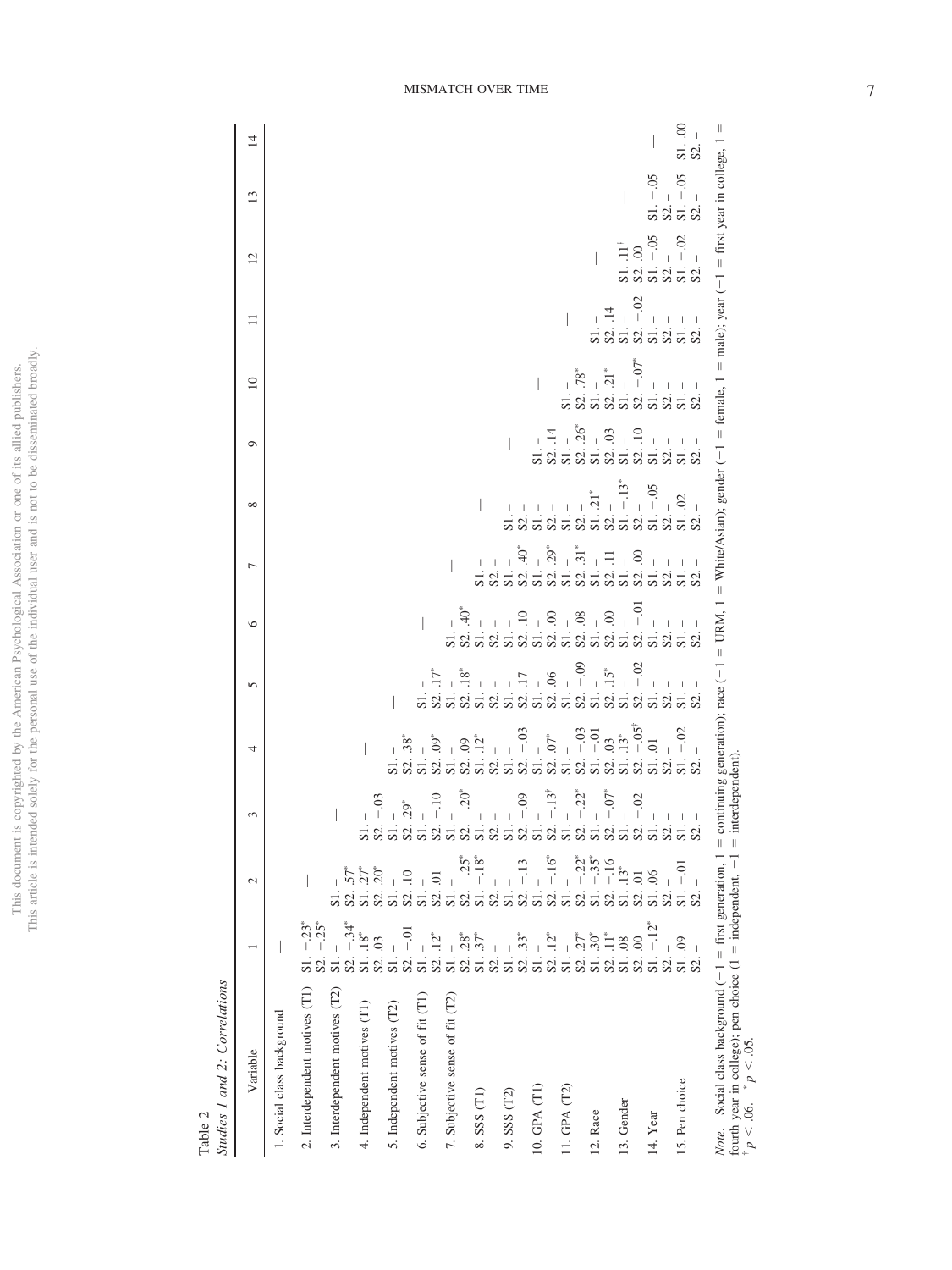| í<br>₫<br>$\frac{1}{2}$<br>i.<br>)<br>ł<br>$\mathcal{L}$ | てくぐ<br>ì<br>Ϊ<br>$\frac{1}{1}$ |
|----------------------------------------------------------|--------------------------------|
| $\frac{1}{2}$                                            |                                |
| Í<br>j<br>ì.<br>ł<br>This $\epsilon$                     | į                              |

Table 2<br>Studies 1 and 2: Correlations *Studies 1 and 2: Correlations*

| Variable                                                                                                                                                                                     |                                                  | $\mathcal{L}$                                     | 3                                                                                                            | 4      | 5 | ١c                                                                         | $\overline{ }$ | $\infty$                                                                                                                                                                                                                              | $\circ$ | $\supseteq$ | $\Box$                                                                                  | 12                                                                                                                | 13                                                                               | 4                   |
|----------------------------------------------------------------------------------------------------------------------------------------------------------------------------------------------|--------------------------------------------------|---------------------------------------------------|--------------------------------------------------------------------------------------------------------------|--------|---|----------------------------------------------------------------------------|----------------|---------------------------------------------------------------------------------------------------------------------------------------------------------------------------------------------------------------------------------------|---------|-------------|-----------------------------------------------------------------------------------------|-------------------------------------------------------------------------------------------------------------------|----------------------------------------------------------------------------------|---------------------|
| 1. Social class background                                                                                                                                                                   |                                                  |                                                   |                                                                                                              |        |   |                                                                            |                |                                                                                                                                                                                                                                       |         |             |                                                                                         |                                                                                                                   |                                                                                  |                     |
| 2. Interdependent motives (T1)                                                                                                                                                               | $-25^*$<br>$S1. - 23^*$                          |                                                   |                                                                                                              |        |   |                                                                            |                |                                                                                                                                                                                                                                       |         |             |                                                                                         |                                                                                                                   |                                                                                  |                     |
| 3. Interdependent motives (T2)                                                                                                                                                               | $S1. -$<br>S <sub>2</sub> .                      | $57*$<br>S2.                                      |                                                                                                              |        |   |                                                                            |                |                                                                                                                                                                                                                                       |         |             |                                                                                         |                                                                                                                   |                                                                                  |                     |
| 4. Independent motives (T1)                                                                                                                                                                  | $S2. - 34^*$<br>S1. $18^*$<br>S2. 03             | $.20*$<br>$27*$<br>S1.<br>$\mathbf{S}^2$          | S                                                                                                            |        |   |                                                                            |                |                                                                                                                                                                                                                                       |         |             |                                                                                         |                                                                                                                   |                                                                                  |                     |
| 5. Independent motives (T2)                                                                                                                                                                  | $S1. -$                                          | $\overline{\mathsf{S}}$ l.                        | $-0$<br>$\frac{S2. - 03}{S1. - 29^*}$                                                                        |        |   |                                                                            |                |                                                                                                                                                                                                                                       |         |             |                                                                                         |                                                                                                                   |                                                                                  |                     |
| 6. Subjective sense of fit (T1)                                                                                                                                                              | S <sub>2</sub> .<br>S1.                          | $\overline{10}$<br>S2.01<br>S <sub>2</sub><br>S1. | $\overline{5}$ $\overline{2}$ $\overline{5}$                                                                 |        |   |                                                                            |                |                                                                                                                                                                                                                                       |         |             |                                                                                         |                                                                                                                   |                                                                                  |                     |
| 7. Subjective sense of fit (T2)                                                                                                                                                              | $S2. .12*$<br>$SL$ .                             | $S1. -$                                           | $\frac{1}{2}$ . - .20*<br>$-10$                                                                              |        |   |                                                                            |                |                                                                                                                                                                                                                                       |         |             |                                                                                         |                                                                                                                   |                                                                                  |                     |
| $8. SSS$ $(T1)$                                                                                                                                                                              | $.28*$<br>$\ddot{57}$<br>S <sub>2</sub> .<br>S1. | $-18^{*}$<br>$-25^*$<br>S <sub>2</sub><br>S1.     | Š<br>S                                                                                                       |        |   |                                                                            |                |                                                                                                                                                                                                                                       |         |             |                                                                                         |                                                                                                                   |                                                                                  |                     |
| $9.$ SSS $(T2)$                                                                                                                                                                              | S2.<br>$S1$ .                                    | $S1. -$<br>S2.                                    | $\frac{1}{2}$ $\frac{1}{2}$<br>òò<br>$\mathbf{\Omega}$                                                       |        |   |                                                                            |                |                                                                                                                                                                                                                                       |         |             |                                                                                         |                                                                                                                   |                                                                                  |                     |
|                                                                                                                                                                                              | $33*$<br>S <sub>2</sub> .                        | S <sub>2</sub>                                    | $-0.09$<br>òò                                                                                                |        |   |                                                                            |                |                                                                                                                                                                                                                                       |         |             |                                                                                         |                                                                                                                   |                                                                                  |                     |
| 10. GPA (T1)                                                                                                                                                                                 | $\cdot$ 12*<br>S1.                               | $-16^*$<br>S1.<br>S <sub>2</sub> .                | $-13$<br>S <sub>2</sub><br>S                                                                                 |        |   |                                                                            |                |                                                                                                                                                                                                                                       |         |             |                                                                                         |                                                                                                                   |                                                                                  |                     |
| 11. GPA $(T2)$                                                                                                                                                                               | $\frac{S2}{S1}$ .                                | $-22^{*}$<br>S <sub>2</sub>                       | $-22$<br>ò<br>S                                                                                              |        |   |                                                                            |                | $\begin{array}{cccc}\n & - & - & \overline{1} & \overline{1} & \overline{1} \\  & - & - & - & - & \overline{1} \\  & - & - & - & - & \overline{1} \\  & - & - & - & - & \overline{1} \\  & - & - & - & - & \overline{1}\n\end{array}$ |         |             |                                                                                         |                                                                                                                   |                                                                                  |                     |
| 12. Race                                                                                                                                                                                     | $S2. .27^*$<br>$S1. .30^*$                       | $-35^*$<br>S1.                                    | $\boldsymbol{\omega}$                                                                                        |        |   |                                                                            |                |                                                                                                                                                                                                                                       |         |             |                                                                                         |                                                                                                                   |                                                                                  |                     |
| 13. Gender                                                                                                                                                                                   | $\Xi$<br>S1.08<br>S2.                            | $-16$<br>$S1.13*$<br>S <sub>2</sub>               | $-0$                                                                                                         |        |   | $-0$                                                                       |                | $\frac{2}{5}$                                                                                                                                                                                                                         |         |             | $-.02$                                                                                  |                                                                                                                   |                                                                                  |                     |
| 14. Year                                                                                                                                                                                     | $S2. .00$<br>$S1. -12$ <sup>*</sup>              | S1.06<br>S2.01                                    | $-.02$                                                                                                       | $-0.5$ |   |                                                                            |                |                                                                                                                                                                                                                                       |         |             |                                                                                         |                                                                                                                   |                                                                                  |                     |
| 15. Pen choice                                                                                                                                                                               | S1.09<br>I<br>S2.<br>S2.                         | S2.<br>S1.<br>S <sub>2</sub>                      | <b>Sidishi</b><br>Sidishi<br>Sidishi<br>Sidishi<br>Sidishi<br>Sidishi<br>Sidishi<br>Sidishi<br>Sidishi<br>Hi |        |   | $\overline{a}$ $\overline{a}$ $\overline{a}$ $\overline{a}$ $\overline{a}$ |                | $\begin{array}{r} 2.1 - 0.02 \\ 2.1 - 0.02 \\ 2.1 - 0.02 \\ 2.1 - 0.02 \end{array}$                                                                                                                                                   |         |             | _ _ _ _ _ _<br>ន. _ _ _ _ _ _ _ _ _<br>ន. _ _ _ _ _ _ _ _ _ _<br>ន. _ _ _ _ _ _ _ _ _ _ | $-0.02$<br>$\begin{array}{c} 81.11^{\dagger} \\ 82.00 \\ 82.1 - 05 \\ 81.1 - 05 \\ 81.02 \\ 81.02 \\ \end{array}$ | $\begin{array}{c} $11 - .05 \ $2. - $65 \ $31. - .05 \ $32. - $65 \ \end{array}$ | $\frac{81.00}{52.}$ |
| Social class background (-1 = first generation, 1 = continuing generation); race (-1 = URM, 1 = White/Asian); gender (-1 = female, 1 = male); year (-1 = first year in college, 1 =<br>Note. |                                                  |                                                   |                                                                                                              |        |   |                                                                            |                |                                                                                                                                                                                                                                       |         |             |                                                                                         |                                                                                                                   |                                                                                  |                     |

fourth year in college); pen choice  $(1 =$ 

†

 $\bar{p}$   $\leq$  .06.  $\tilde{p}$ 

 $p > 0.05$ .

 $=$  independent,  $-1$   $=$ 

interdependent).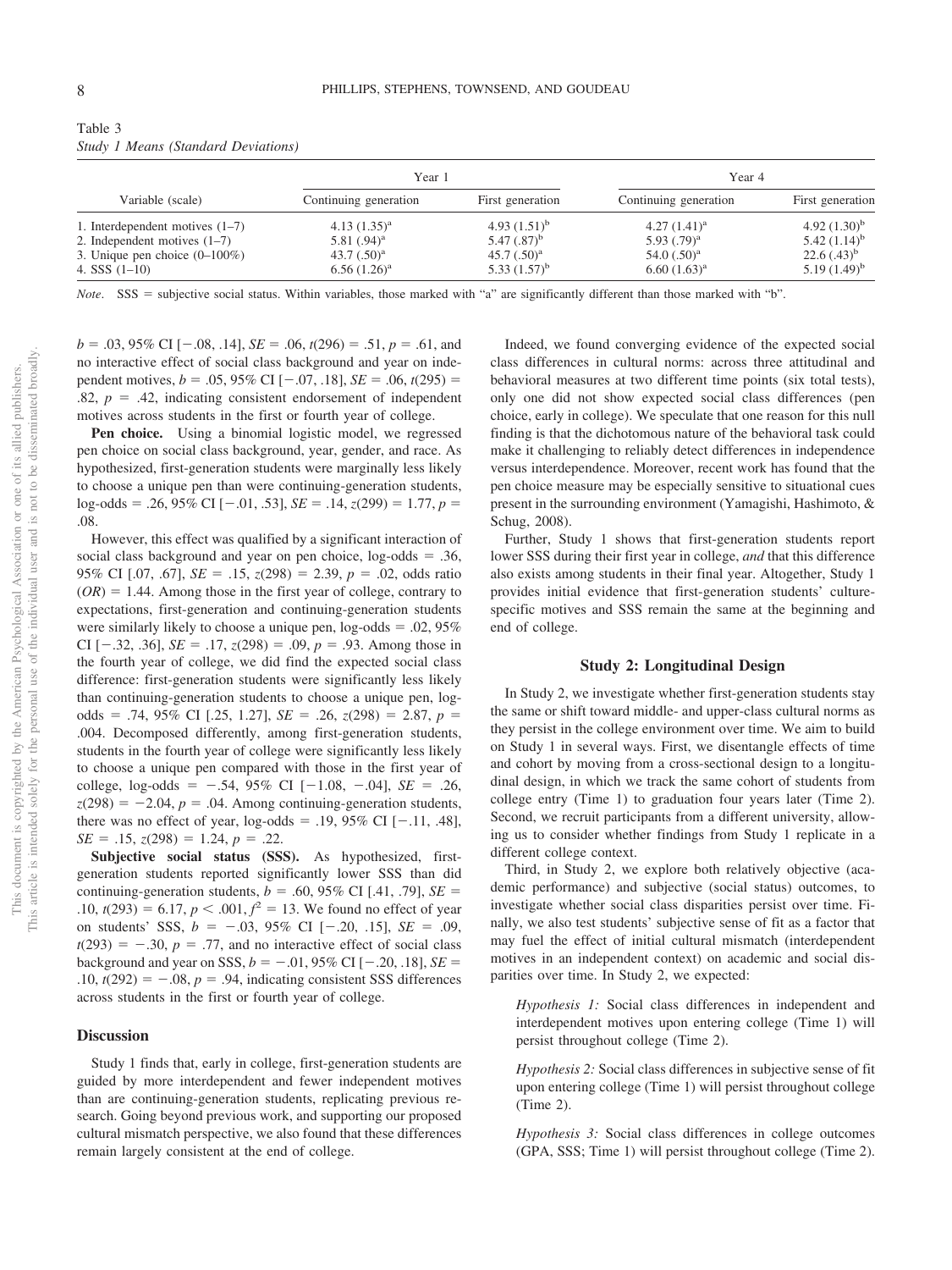|                                                                                                                            | Year 1                                                                   |                                                                          | Year 4                                                               |                                                                           |
|----------------------------------------------------------------------------------------------------------------------------|--------------------------------------------------------------------------|--------------------------------------------------------------------------|----------------------------------------------------------------------|---------------------------------------------------------------------------|
| Variable (scale)                                                                                                           | Continuing generation                                                    | First generation                                                         | Continuing generation                                                | First generation                                                          |
| 1. Interdependent motives $(1-7)$<br>2. Independent motives $(1-7)$<br>3. Unique pen choice $(0-100\%)$<br>4. SSS $(1-10)$ | $4.13(1.35)^{a}$<br>5.81 $(.94)^a$<br>43.7 $(.50)^{a}$<br>$6.56(1.26)^a$ | 4.93 $(1.51)^b$<br>5.47 $(.87)^{b}$<br>45.7 $(.50)^a$<br>5.33 $(1.57)^b$ | $4.27(1.41)^a$<br>5.93 $(.79)^a$<br>54.0 $(.50)^a$<br>$6.60(1.63)^a$ | 4.92 $(1.30)^b$<br>5.42 $(1.14)^b$<br>$22.6(.43)^{b}$<br>$5.19(1.49)^{b}$ |

Table 3 *Study 1 Means (Standard Deviations)*

*Note*. SSS = subjective social status. Within variables, those marked with "a" are significantly different than those marked with "b".

 $b = .03,95\%$  CI [ $-.08, .14$ ], *SE* = .06,  $t(296) = .51, p = .61$ , and no interactive effect of social class background and year on independent motives,  $b = .05,95\%$  CI  $[-.07, .18]$ ,  $SE = .06$ ,  $t(295) =$  $.82, p = .42$ , indicating consistent endorsement of independent motives across students in the first or fourth year of college.

Pen choice. Using a binomial logistic model, we regressed pen choice on social class background, year, gender, and race. As hypothesized, first-generation students were marginally less likely to choose a unique pen than were continuing-generation students,  $log-odds = .26,95\% \text{ CI} [-.01, .53], SE = .14, z(299) = 1.77, p =$ .08.

However, this effect was qualified by a significant interaction of social class background and year on pen choice,  $log-odds = .36$ , 95% CI [.07, .67], *SE* - .15, *z*(298) - 2.39, *p* - .02, odds ratio  $(OR) = 1.44$ . Among those in the first year of college, contrary to expectations, first-generation and continuing-generation students were similarly likely to choose a unique pen,  $log-odds = .02,95%$ CI  $[-.32, .36]$ , *SE* = .17,  $z(298) = .09$ ,  $p = .93$ . Among those in the fourth year of college, we did find the expected social class difference: first-generation students were significantly less likely than continuing-generation students to choose a unique pen, logodds = .74, 95% CI [.25, 1.27], *SE* = .26, *z*(298) = 2.87, *p* = .004. Decomposed differently, among first-generation students, students in the fourth year of college were significantly less likely to choose a unique pen compared with those in the first year of college,  $log-odds = -.54, 95\% \text{ CI} [-1.08, -.04], SE = .26,$  $z(298) = -2.04$ ,  $p = .04$ . Among continuing-generation students, there was no effect of year,  $log-odds = .19, 95\% \text{ CI} [-.11, .48],$  $SE = .15$ ,  $z(298) = 1.24$ ,  $p = .22$ .

**Subjective social status (SSS).** As hypothesized, firstgeneration students reported significantly lower SSS than did continuing-generation students,  $b = .60, 95\%$  CI [.41, .79],  $SE =$  $\mathbf{10}, \mathbf{10} = 6.17, p < .001, f^2 = 13$ . We found no effect of year on students' SSS,  $b = -.03, 95\%$  CI  $[-.20, .15]$ ,  $SE = .09$ ,  $t(293) = -.30, p = .77,$  and no interactive effect of social class background and year on SSS,  $b = -.01, 95\%$  CI [ $-.20, .18$ ], *SE* =  $.10, t(292) = -.08, p = .94, indicating consistent SSS differences$ across students in the first or fourth year of college.

#### **Discussion**

Study 1 finds that, early in college, first-generation students are guided by more interdependent and fewer independent motives than are continuing-generation students, replicating previous research. Going beyond previous work, and supporting our proposed cultural mismatch perspective, we also found that these differences remain largely consistent at the end of college.

Indeed, we found converging evidence of the expected social class differences in cultural norms: across three attitudinal and behavioral measures at two different time points (six total tests), only one did not show expected social class differences (pen choice, early in college). We speculate that one reason for this null finding is that the dichotomous nature of the behavioral task could make it challenging to reliably detect differences in independence versus interdependence. Moreover, recent work has found that the pen choice measure may be especially sensitive to situational cues present in the surrounding environment (Yamagishi, Hashimoto, & Schug, 2008).

Further, Study 1 shows that first-generation students report lower SSS during their first year in college, *and* that this difference also exists among students in their final year. Altogether, Study 1 provides initial evidence that first-generation students' culturespecific motives and SSS remain the same at the beginning and end of college.

#### **Study 2: Longitudinal Design**

In Study 2, we investigate whether first-generation students stay the same or shift toward middle- and upper-class cultural norms as they persist in the college environment over time. We aim to build on Study 1 in several ways. First, we disentangle effects of time and cohort by moving from a cross-sectional design to a longitudinal design, in which we track the same cohort of students from college entry (Time 1) to graduation four years later (Time 2). Second, we recruit participants from a different university, allowing us to consider whether findings from Study 1 replicate in a different college context.

Third, in Study 2, we explore both relatively objective (academic performance) and subjective (social status) outcomes, to investigate whether social class disparities persist over time. Finally, we also test students' subjective sense of fit as a factor that may fuel the effect of initial cultural mismatch (interdependent motives in an independent context) on academic and social disparities over time. In Study 2, we expected:

*Hypothesis 1:* Social class differences in independent and interdependent motives upon entering college (Time 1) will persist throughout college (Time 2).

*Hypothesis 2:* Social class differences in subjective sense of fit upon entering college (Time 1) will persist throughout college (Time 2).

*Hypothesis 3:* Social class differences in college outcomes (GPA, SSS; Time 1) will persist throughout college (Time 2).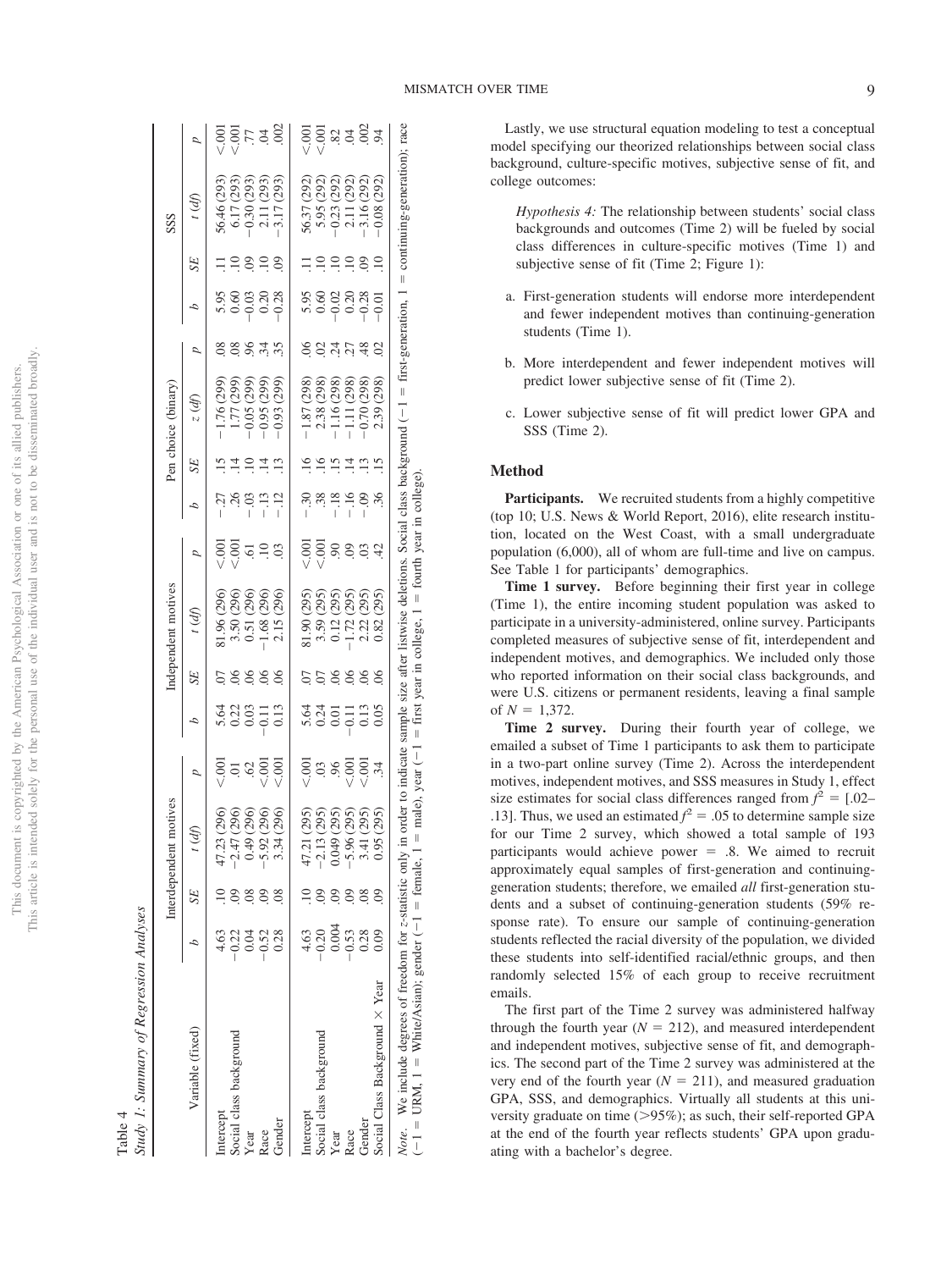|                    | nahino<br>i tu: |
|--------------------|-----------------|
|                    | ression.<br>Reg |
|                    | $\sqrt{2}$      |
|                    | Allandi.        |
|                    |                 |
| T <sub>o</sub> hi. |                 |

|                                                                                                                                                                                                                                                                                                           |                  |                | Interdependent motives                                                                 |                |                     |                | Independent motives                                                       |                |                         |           | Pen choice (binary)                                                                                   |                |                                  |                 | SSS                                      |                                                   |
|-----------------------------------------------------------------------------------------------------------------------------------------------------------------------------------------------------------------------------------------------------------------------------------------------------------|------------------|----------------|----------------------------------------------------------------------------------------|----------------|---------------------|----------------|---------------------------------------------------------------------------|----------------|-------------------------|-----------|-------------------------------------------------------------------------------------------------------|----------------|----------------------------------|-----------------|------------------------------------------|---------------------------------------------------|
| Variable (fixed)                                                                                                                                                                                                                                                                                          |                  | SE             | t (df                                                                                  | D              | Δ                   | <b>SE</b>      | t(d)                                                                      | D              | Δ                       | <b>SE</b> | $z$ (df)                                                                                              | D              | 4                                | SE              | (d)                                      | Þ                                                 |
| Intercept                                                                                                                                                                                                                                                                                                 | 4.63             |                | $47.23$ (                                                                              |                |                     |                | 81.96 (296)                                                               |                | $-.27$                  |           |                                                                                                       |                |                                  |                 |                                          |                                                   |
| Social class background                                                                                                                                                                                                                                                                                   |                  |                | 999999<br>88888                                                                        | $\frac{5}{10}$ | 323511<br>225511    |                | 3.50 (296)<br>0.51 (296)                                                  | $\frac{1}{2}$  | Ķ                       |           | $-1.76(299)$<br>$1.77(299)$<br>$-0.05(299)$                                                           | S.             | 5.95<br>5.95<br>5.95<br>5.95     | $\Xi$           | 56.46 (293)<br>6.17 (293)<br>-0.30 (293) | $\frac{1}{2}$                                     |
| Year                                                                                                                                                                                                                                                                                                      | $232$<br>$-0.52$ |                | $-2.47$<br>$-0.49$<br>$-5.92$<br>$-3.34$                                               | .62            |                     | $\overline{0}$ |                                                                           | $\ddot{\circ}$ | $-03$                   | $\Xi$     |                                                                                                       | 96.            |                                  | $\odot$         |                                          | $\overline{7}$                                    |
| Race                                                                                                                                                                                                                                                                                                      |                  | $\overline{0}$ |                                                                                        | 00.7           |                     |                | $-1.68(296)$                                                              | $\ddot{=}$     | $-13$                   |           | (299)<br>$-0.95($                                                                                     | $\ddot{r}$     |                                  | $\ddot{=}$      | 2.11 (293)<br>-3.17 (293)                | Ŕ                                                 |
| Gender                                                                                                                                                                                                                                                                                                    | 0.28             |                |                                                                                        | 00             | 0.13                |                | (296)<br>2.15(                                                            |                |                         |           | (299)<br>$-0.93$                                                                                      |                |                                  | $\overline{6}$  | (293)                                    | $\overline{002}$                                  |
|                                                                                                                                                                                                                                                                                                           |                  |                |                                                                                        |                |                     |                |                                                                           |                |                         |           |                                                                                                       |                |                                  |                 |                                          |                                                   |
| Intercept                                                                                                                                                                                                                                                                                                 | 4.63             |                |                                                                                        | 500            |                     |                | 81.90 (295)                                                               | 흥흥<br>V        | $-30$                   |           | $-1.87(298)$                                                                                          |                |                                  |                 |                                          |                                                   |
| Social class background                                                                                                                                                                                                                                                                                   |                  |                |                                                                                        | 03             | s<br>1920<br>2      |                |                                                                           |                | $\ddot{3}$              |           |                                                                                                       | S              |                                  |                 | 56.37 (292)<br>5.95 (292)                | $\overline{5}\overline{0}$                        |
| Year                                                                                                                                                                                                                                                                                                      | $0.20$<br>0.004  |                |                                                                                        |                |                     |                |                                                                           | $\delta$       |                         |           |                                                                                                       | र्थ            |                                  | $\Xi$           |                                          |                                                   |
| Race                                                                                                                                                                                                                                                                                                      | $-0.53$<br>0.28  |                | ຄົດຄິດຄິດ<br>ຄິດຄິດຄິດ<br>$47.21$<br>$-2.13$<br>$-6.949$<br>$-5.96$<br>$3.41$<br>$(2)$ | 8.800          | $-0.11$             | 06             | 3.59 (295)<br>0.12 (295)<br>-1.72 (295)                                   | 60.            | $-18$<br>$-16$<br>$-16$ |           | $\begin{array}{r} 2.38~(298) \\ -1.16~(298) \\ -1.11~(298) \\ -1.11~(298) \\ -0.70~(298) \end{array}$ | ĽČ.            | 5.98<br>0.000<br>0.0000<br>0.000 | $\overline{10}$ | $-0.23(292)$<br>2.11(292)                | $\ddot{\approx}$ $\dot{\approx}$ $\ddot{\approx}$ |
| Gender                                                                                                                                                                                                                                                                                                    |                  |                |                                                                                        |                | $\frac{0.13}{0.05}$ |                | 2.22(295)                                                                 | S              |                         |           |                                                                                                       | $\frac{48}{5}$ |                                  | $\overline{60}$ | $-3.16(292)$                             |                                                   |
| Social Class Background X Year                                                                                                                                                                                                                                                                            | 0.09             |                | 0.95                                                                                   | $\ddot{34}$    |                     |                | (295)<br>$0.82$ (                                                         |                |                         |           | (298)<br>2.39                                                                                         |                |                                  |                 | $-0.08$ (292)                            |                                                   |
| Note. We include degrees of freedom for z-statistic only in order to indicate sample size after listwise deletions. Social class background $(-1 + \text{first-generation}, 1 + \text{first-generation}, 1 + \text{first-operation})$<br>$(-1 = URM, 1 = White/Asian);$ gender $(-1 = \text{female}, 1 =$ |                  |                |                                                                                        |                |                     |                | male), year $(-1)$ = first year in college, $1$ = fourth year in college) |                |                         |           |                                                                                                       |                |                                  |                 | $=$ continuing-generation); race         |                                                   |

Lastly, we use structural equation modeling to test a conceptual model specifying our theorized relationships between social class background, culture-specific motives, subjective sense of fit, and college outcomes:

*Hypothesis 4:* The relationship between students' social class backgrounds and outcomes (Time 2) will be fueled by social class differences in culture-specific motives (Time 1) and subjective sense of fit (Time 2; Figure 1):

- a. First-generation students will endorse more interdependent and fewer independent motives than continuing-generation students (Time 1).
- b. More interdependent and fewer independent motives will predict lower subjective sense of fit (Time 2).
- c. Lower subjective sense of fit will predict lower GPA and SSS (Time 2).

#### **Method**

**Participants.** We recruited students from a highly competitive (top 10; U.S. News & World Report, 2016), elite research institution, located on the West Coast, with a small undergraduate population (6,000), all of whom are full-time and live on campus. See Table 1 for participants' demographics.

**Time 1 survey.** Before beginning their first year in college (Time 1), the entire incoming student population was asked to participate in a university-administered, online survey. Participants completed measures of subjective sense of fit, interdependent and independent motives, and demographics. We included only those who reported information on their social class backgrounds, and were U.S. citizens or permanent residents, leaving a final sample of  $N = 1,372$ .

**Time 2 survey.** During their fourth year of college, we emailed a subset of Time 1 participants to ask them to participate in a two-part online survey (Time 2). Across the interdependent motives, independent motives, and SSS measures in Study 1, effect size estimates for social class differences ranged from  $f^2 = [.02-$ .13]. Thus, we used an estimated  $f^2 = .05$  to determine sample size for our Time 2 survey, which showed a total sample of 193 participants would achieve power  $=$  .8. We aimed to recruit approximately equal samples of first-generation and continuinggeneration students; therefore, we emailed *all* first-generation students and a subset of continuing-generation students (59% response rate). To ensure our sample of continuing-generation students reflected the racial diversity of the population, we divided these students into self-identified racial/ethnic groups, and then randomly selected 15% of each group to receive recruitment emails.

The first part of the Time 2 survey was administered halfway through the fourth year  $(N = 212)$ , and measured interdependent and independent motives, subjective sense of fit, and demographics. The second part of the Time 2 survey was administered at the very end of the fourth year  $(N = 211)$ , and measured graduation GPA, SSS, and demographics. Virtually all students at this university graduate on time (>95%); as such, their self-reported GPA at the end of the fourth year reflects students' GPA upon graduating with a bachelor's degree.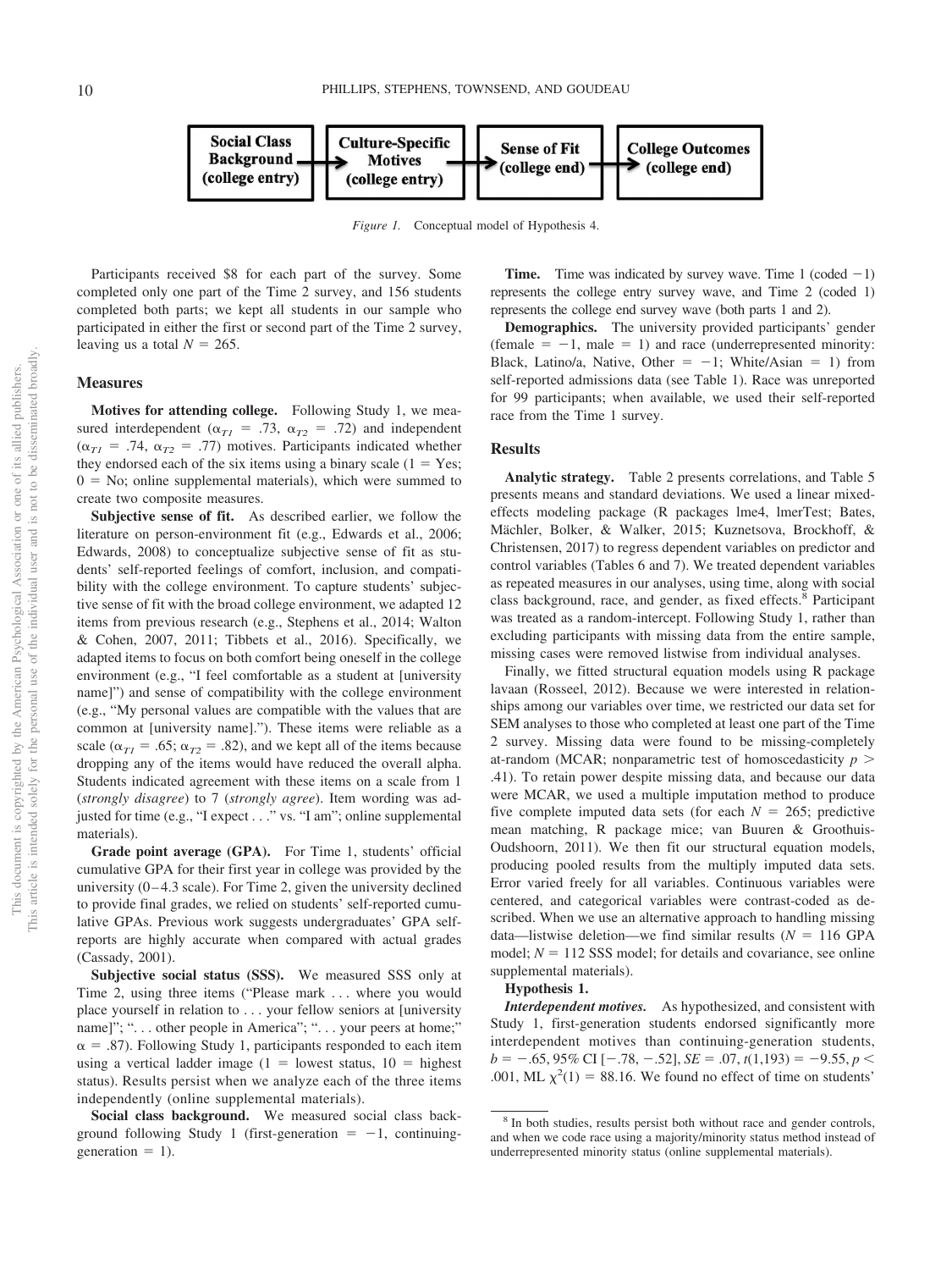

*Figure 1.* Conceptual model of Hypothesis 4.

Participants received \$8 for each part of the survey. Some completed only one part of the Time 2 survey, and 156 students completed both parts; we kept all students in our sample who participated in either the first or second part of the Time 2 survey, leaving us a total  $N = 265$ .

#### **Measures**

**Motives for attending college.** Following Study 1, we measured interdependent ( $\alpha_{T1}$  = .73,  $\alpha_{T2}$  = .72) and independent  $(\alpha_{T1} = .74, \alpha_{T2} = .77)$  motives. Participants indicated whether they endorsed each of the six items using a binary scale  $(1 = Yes;$  $0 =$  No; [online supplemental materials\)](http://dx.doi.org/10.1037/pspi0000234.supp), which were summed to create two composite measures.

**Subjective sense of fit.** As described earlier, we follow the literature on person-environment fit (e.g., Edwards et al., 2006; Edwards, 2008) to conceptualize subjective sense of fit as students' self-reported feelings of comfort, inclusion, and compatibility with the college environment. To capture students' subjective sense of fit with the broad college environment, we adapted 12 items from previous research (e.g., Stephens et al., 2014; Walton & Cohen, 2007, 2011; Tibbets et al., 2016). Specifically, we adapted items to focus on both comfort being oneself in the college environment (e.g., "I feel comfortable as a student at [university name]") and sense of compatibility with the college environment (e.g., "My personal values are compatible with the values that are common at [university name]."). These items were reliable as a scale ( $\alpha_{TI}$  = .65;  $\alpha_{T2}$  = .82), and we kept all of the items because dropping any of the items would have reduced the overall alpha. Students indicated agreement with these items on a scale from 1 (*strongly disagree*) to 7 (*strongly agree*). Item wording was adjusted for time (e.g., "I expect . . ." vs. "I am"; [online supplemental](http://dx.doi.org/10.1037/pspi0000234.supp) [materials\)](http://dx.doi.org/10.1037/pspi0000234.supp).

**Grade point average (GPA).** For Time 1, students' official cumulative GPA for their first year in college was provided by the university  $(0-4.3 \text{ scale})$ . For Time 2, given the university declined to provide final grades, we relied on students' self-reported cumulative GPAs. Previous work suggests undergraduates' GPA selfreports are highly accurate when compared with actual grades (Cassady, 2001).

**Subjective social status (SSS).** We measured SSS only at Time 2, using three items ("Please mark . . . where you would place yourself in relation to . . . your fellow seniors at [university name]"; "... other people in America"; "... your peers at home;"  $\alpha = .87$ ). Following Study 1, participants responded to each item using a vertical ladder image  $(1 =$  lowest status,  $10 =$  highest status). Results persist when we analyze each of the three items independently [\(online supplemental materials\)](http://dx.doi.org/10.1037/pspi0000234.supp).

**Social class background.** We measured social class background following Study 1 (first-generation  $= -1$ , continuinggeneration  $= 1$ ).

**Time.** Time was indicated by survey wave. Time 1 (coded  $-1$ ) represents the college entry survey wave, and Time 2 (coded 1) represents the college end survey wave (both parts 1 and 2).

**Demographics.** The university provided participants' gender  $(\text{female} = -1, \text{ male} = 1)$  and race (underrepresented minority: Black, Latino/a, Native, Other =  $-1$ ; White/Asian = 1) from self-reported admissions data (see Table 1). Race was unreported for 99 participants; when available, we used their self-reported race from the Time 1 survey.

#### **Results**

**Analytic strategy.** Table 2 presents correlations, and Table 5 presents means and standard deviations. We used a linear mixedeffects modeling package (R packages lme4, lmerTest; Bates, Mächler, Bolker, & Walker, 2015; Kuznetsova, Brockhoff, & Christensen, 2017) to regress dependent variables on predictor and control variables (Tables 6 and [7\)](#page-12-0). We treated dependent variables as repeated measures in our analyses, using time, along with social class background, race, and gender, as fixed effects.<sup>8</sup> Participant was treated as a random-intercept. Following Study 1, rather than excluding participants with missing data from the entire sample, missing cases were removed listwise from individual analyses.

Finally, we fitted structural equation models using R package lavaan (Rosseel, 2012). Because we were interested in relationships among our variables over time, we restricted our data set for SEM analyses to those who completed at least one part of the Time 2 survey. Missing data were found to be missing-completely at-random (MCAR; nonparametric test of homoscedasticity *p* .41). To retain power despite missing data, and because our data were MCAR, we used a multiple imputation method to produce five complete imputed data sets (for each  $N = 265$ ; predictive mean matching, R package mice; van Buuren & Groothuis-Oudshoorn, 2011). We then fit our structural equation models, producing pooled results from the multiply imputed data sets. Error varied freely for all variables. Continuous variables were centered, and categorical variables were contrast-coded as described. When we use an alternative approach to handling missing data—listwise deletion—we find similar results  $(N = 116 \text{ GPA})$ model;  $N = 112$  SSS model; for details and covariance, see [online](http://dx.doi.org/10.1037/pspi0000234.supp) [supplemental materials\)](http://dx.doi.org/10.1037/pspi0000234.supp).

#### **Hypothesis 1.**

*Interdependent motives.* As hypothesized, and consistent with Study 1, first-generation students endorsed significantly more interdependent motives than continuing-generation students,  $b = -.65, 95\% \text{ CI} [-.78, -.52], SE = .07, t(1,193) = -9.55, p <$ .001, ML  $\chi^2(1) = 88.16$ . We found no effect of time on students'

<sup>&</sup>lt;sup>8</sup> In both studies, results persist both without race and gender controls, and when we code race using a majority/minority status method instead of underrepresented minority status [\(online supplemental materials\)](http://dx.doi.org/10.1037/pspi0000234.supp).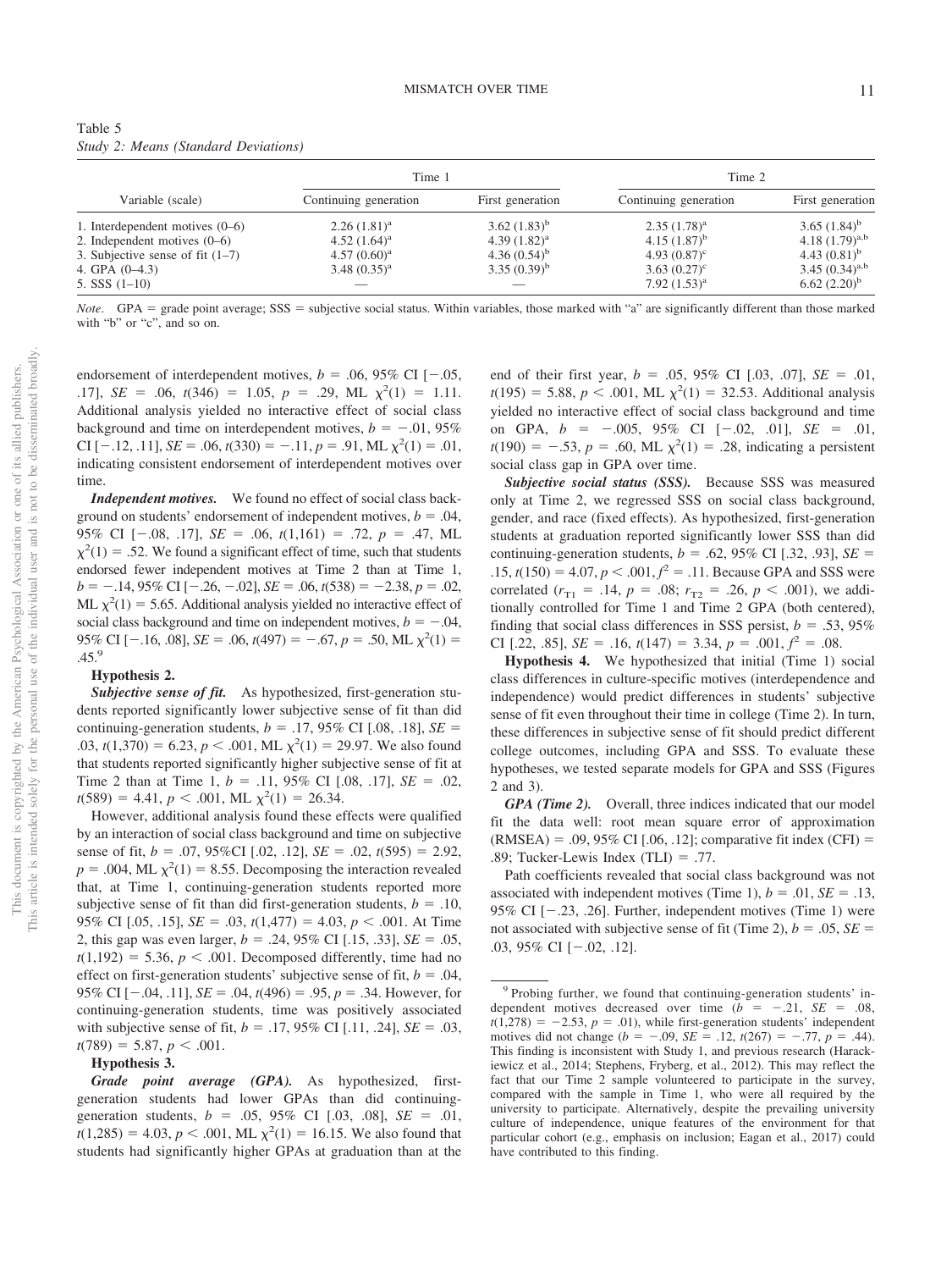| Table 5 |  |                                      |
|---------|--|--------------------------------------|
|         |  | Study 2: Means (Standard Deviations) |

|                                    | Time 1                |                  | Time 2                     |                            |
|------------------------------------|-----------------------|------------------|----------------------------|----------------------------|
| Variable (scale)                   | Continuing generation | First generation | Continuing generation      | First generation           |
| 1. Interdependent motives $(0-6)$  | $2.26(1.81)^a$        | 3.62 $(1.83)^b$  | $2.35(1.78)^a$             | 3.65 $(1.84)^b$            |
| 2. Independent motives $(0-6)$     | 4.52 $(1.64)^a$       | 4.39 $(1.82)^a$  | 4.15 $(1.87)^b$            | 4.18 $(1.79)^{a,b}$        |
| 3. Subjective sense of fit $(1-7)$ | $4.57(0.60)^a$        | 4.36 $(0.54)^b$  | 4.93 $(0.87)$ <sup>c</sup> | 4.43 $(0.81)$ <sup>b</sup> |
| 4. GPA $(0-4.3)$                   | $3.48(0.35)^{a}$      | $3.35(0.39)^b$   | $3.63(0.27)^{\circ}$       | 3.45 $(0.34)^{a,b}$        |
| 5. SSS $(1-10)$                    |                       |                  | 7.92 $(1.53)^{a}$          | $6.62(2.20)^b$             |

*Note*. GPA = grade point average; SSS = subjective social status. Within variables, those marked with "a" are significantly different than those marked with "b" or "c", and so on.

endorsement of interdependent motives,  $b = .06, 95\%$  CI [ $-.05,$ .17], *SE* = .06,  $t(346)$  = 1.05,  $p = .29$ , ML  $\chi^2(1) = 1.11$ . Additional analysis yielded no interactive effect of social class background and time on interdependent motives,  $b = -.01, 95\%$ CI [-.12, .11], *SE* = .06,  $t(330) = -0.11$ ,  $p = 0.91$ , ML  $\chi^2(1) = 0.01$ , indicating consistent endorsement of interdependent motives over time.

*Independent motives.* We found no effect of social class background on students' endorsement of independent motives,  $b = .04$ , 95% CI  $[-.08, .17]$ ,  $SE = .06$ ,  $t(1,161) = .72$ ,  $p = .47$ , ML  $\chi^2(1) = .52$ . We found a significant effect of time, such that students endorsed fewer independent motives at Time 2 than at Time 1,  $b = -.14,95\%$  CI  $[-.26, -.02]$ ,  $SE = .06$ ,  $t(538) = -2.38$ ,  $p = .02$ , ML  $\chi^2(1) = 5.65$ . Additional analysis yielded no interactive effect of social class background and time on independent motives,  $b = -.04$ , 95% CI [-.16, .08], *SE* = .06,  $t(497) = -0.67$ ,  $p = 0.50$ , ML  $\chi^2(1) =$ .45.9

#### **Hypothesis 2.**

*Subjective sense of fit.* As hypothesized, first-generation students reported significantly lower subjective sense of fit than did continuing-generation students,  $b = .17, 95\%$  CI [.08, .18],  $SE =$  $(0.03, t(1,370)) = 6.23, p < .001, ML \chi^2(1) = 29.97$ . We also found that students reported significantly higher subjective sense of fit at Time 2 than at Time 1,  $b = .11, 95\%$  CI [.08, .17],  $SE = .02$ ,  $t(589) = 4.41, p < .001, ML \chi^2(1) = 26.34.$ 

However, additional analysis found these effects were qualified by an interaction of social class background and time on subjective sense of fit,  $b = .07, 95\%$ CI [.02, .12],  $SE = .02, t(595) = 2.92$ ,  $p = .004$ , ML  $\chi^2(1) = 8.55$ . Decomposing the interaction revealed that, at Time 1, continuing-generation students reported more subjective sense of fit than did first-generation students,  $b = .10$ , 95% CI [.05, .15],  $SE = .03$ ,  $t(1,477) = 4.03$ ,  $p < .001$ . At Time 2, this gap was even larger,  $b = .24, 95\%$  CI [.15, .33],  $SE = .05$ ,  $t(1,192) = 5.36, p < .001$ . Decomposed differently, time had no effect on first-generation students' subjective sense of fit,  $b = .04$ , 95% CI  $[-.04, .11]$ ,  $SE = .04$ ,  $t(496) = .95$ ,  $p = .34$ . However, for continuing-generation students, time was positively associated with subjective sense of fit,  $b = .17,95\%$  CI [.11, .24],  $SE = .03$ ,  $t(789) = 5.87, p < .001.$ 

#### **Hypothesis 3.**

*Grade point average (GPA).* As hypothesized, firstgeneration students had lower GPAs than did continuinggeneration students,  $b = .05, 95\%$  CI [.03, .08],  $SE = .01$ ,  $t(1,285) = 4.03, p < .001, ML \chi^2(1) = 16.15$ . We also found that students had significantly higher GPAs at graduation than at the

end of their first year,  $b = .05, 95\%$  CI  $[.03, .07]$ ,  $SE = .01$ ,  $t(195) = 5.88, p < .001, ML \chi^2(1) = 32.53.$  Additional analysis yielded no interactive effect of social class background and time on GPA,  $b = -.005, 95\%$  CI  $[-.02, .01], SE = .01,$  $t(190) = -.53, p = .60, ML \chi^2(1) = .28$ , indicating a persistent social class gap in GPA over time.

*Subjective social status (SSS).* Because SSS was measured only at Time 2, we regressed SSS on social class background, gender, and race (fixed effects). As hypothesized, first-generation students at graduation reported significantly lower SSS than did continuing-generation students,  $b = .62, 95\%$  CI [.32, .93],  $SE =$  $.15$ ,  $t(150) = 4.07$ ,  $p < .001$ ,  $f^2 = .11$ . Because GPA and SSS were correlated ( $r_{T1} = .14$ ,  $p = .08$ ;  $r_{T2} = .26$ ,  $p < .001$ ), we additionally controlled for Time 1 and Time 2 GPA (both centered), finding that social class differences in SSS persist,  $b = .53, 95\%$ CI [.22, .85], *SE* = .16,  $t(147) = 3.34$ ,  $p = .001$ ,  $f^2 = .08$ .

**Hypothesis 4.** We hypothesized that initial (Time 1) social class differences in culture-specific motives (interdependence and independence) would predict differences in students' subjective sense of fit even throughout their time in college (Time 2). In turn, these differences in subjective sense of fit should predict different college outcomes, including GPA and SSS. To evaluate these hypotheses, we tested separate models for GPA and SSS (Figures 2 and 3).

*GPA (Time 2).* Overall, three indices indicated that our model fit the data well: root mean square error of approximation  $(RMSEA) = .09, 95\% \text{ CI}$  [.06, .12]; comparative fit index (CFI) =  $.89$ ; Tucker-Lewis Index (TLI) = .77.

Path coefficients revealed that social class background was not associated with independent motives (Time 1),  $b = .01$ ,  $SE = .13$ , 95% CI  $[-.23, .26]$ . Further, independent motives (Time 1) were not associated with subjective sense of fit (Time 2),  $b = .05$ ,  $SE =$ .03, 95% CI  $[-.02, .12]$ .

<sup>9</sup> Probing further, we found that continuing-generation students' independent motives decreased over time  $(b = -.21, SE = .08,$  $t(1,278) = -2.53$ ,  $p = .01$ ), while first-generation students' independent motives did not change ( $b = -.09$ ,  $SE = .12$ ,  $t(267) = -.77$ ,  $p = .44$ ). This finding is inconsistent with Study 1, and previous research (Harackiewicz et al., 2014; Stephens, Fryberg, et al., 2012). This may reflect the fact that our Time 2 sample volunteered to participate in the survey, compared with the sample in Time 1, who were all required by the university to participate. Alternatively, despite the prevailing university culture of independence, unique features of the environment for that particular cohort (e.g., emphasis on inclusion; Eagan et al., 2017) could have contributed to this finding.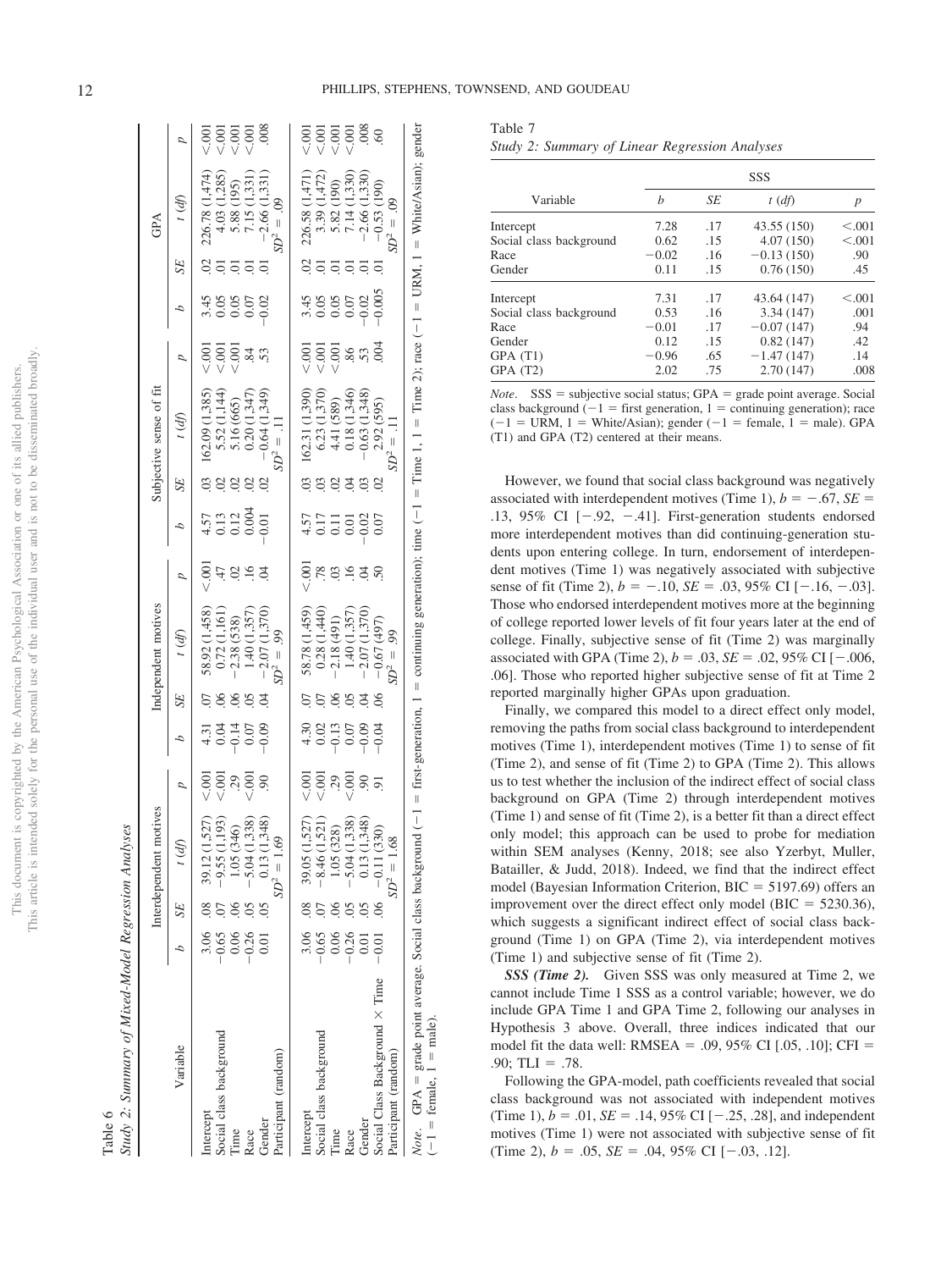|                       | ï              |
|-----------------------|----------------|
|                       | j              |
| ١                     | Ó              |
| í                     | ł              |
| í<br>j                |                |
| Ś                     |                |
| ļ                     |                |
| ï                     |                |
|                       |                |
|                       | j              |
|                       | í<br>ì         |
|                       |                |
|                       | Í              |
|                       |                |
|                       |                |
| J                     |                |
| ł                     | i              |
|                       |                |
|                       |                |
|                       | i              |
|                       |                |
| í                     |                |
| ì                     |                |
|                       | j              |
|                       |                |
|                       | ì              |
|                       | i              |
| n e                   |                |
|                       | Ï              |
| I                     |                |
|                       |                |
|                       |                |
| ١                     |                |
|                       |                |
|                       |                |
| ١                     |                |
| ģ                     | ţ              |
|                       |                |
| ł                     |                |
|                       |                |
|                       | j              |
|                       |                |
|                       | <b>UCOP</b>    |
|                       |                |
|                       |                |
| į                     | ć              |
|                       |                |
|                       |                |
| E                     |                |
| j                     |                |
| i<br>ì                | j              |
| l<br>J<br>Ϊ           |                |
| I<br>j                |                |
| ì                     | ţ              |
| ł<br>J                |                |
|                       |                |
| l                     |                |
| $\frac{1}{2}$         | č              |
|                       |                |
|                       |                |
|                       |                |
|                       |                |
|                       | Ċ              |
|                       |                |
|                       | j              |
|                       | j              |
| CRD<br>ï              | i              |
|                       |                |
| é                     |                |
| ¢<br>j                | ζ              |
|                       | Í              |
|                       |                |
|                       |                |
|                       |                |
|                       | .<br>.<br>.    |
|                       |                |
| S                     | j              |
| š                     |                |
|                       |                |
|                       | e<br>E         |
|                       | ł              |
|                       |                |
|                       |                |
| ¢<br>Ć                | $\overline{ }$ |
| ŝ                     |                |
| ţ                     |                |
| ł<br>χj<br>j          |                |
|                       | ï              |
|                       |                |
|                       | ï              |
|                       | ï              |
| PER 2 PT<br>í         |                |
| I                     |                |
|                       | į              |
|                       |                |
|                       |                |
|                       |                |
|                       |                |
| š                     | ĵ              |
|                       |                |
| ċ                     |                |
|                       |                |
| ֦֢֦֧֦֧֦֧֦֢ׅ֖֚֚֚֚֚֚֡֕֜ |                |
|                       |                |
| ĭ                     |                |
|                       |                |
|                       |                |
|                       | ţ              |
|                       |                |
|                       |                |
| š                     |                |
| į                     |                |
| į<br>į                | j              |
|                       | í              |
|                       | i              |

|        | $_{\alpha}$<br>í               |
|--------|--------------------------------|
|        | č<br>$\overline{D}$            |
|        | Ì<br>ı<br>$\ddot{\phantom{0}}$ |
|        | $\ddot{\sigma}$<br>רית רו דיי  |
| ì<br>F | $\tau_{t}$                     |

|                                                                                                                                                                                                                                |          |    | Interdependent motives                                                                                                              |                      |                                                    |                           | Independent motives                                                                                 |                     |                                                               |             | Subjective sense of fit                                                                                       |                |                                                |                                                             | GPA                                                                                                           |                             |
|--------------------------------------------------------------------------------------------------------------------------------------------------------------------------------------------------------------------------------|----------|----|-------------------------------------------------------------------------------------------------------------------------------------|----------------------|----------------------------------------------------|---------------------------|-----------------------------------------------------------------------------------------------------|---------------------|---------------------------------------------------------------|-------------|---------------------------------------------------------------------------------------------------------------|----------------|------------------------------------------------|-------------------------------------------------------------|---------------------------------------------------------------------------------------------------------------|-----------------------------|
| Variable                                                                                                                                                                                                                       |          | SE | t(d)                                                                                                                                | $\overline{a}$       | А                                                  | <b>SE</b>                 | t (df)                                                                                              | $\overline{b}$      | Δ                                                             | SE          | $t$ (df)                                                                                                      | $\overline{a}$ | d                                              | SE                                                          | $\mathcal{E}$                                                                                                 | $\overline{b}$              |
| Intercept                                                                                                                                                                                                                      | 3.06 .08 |    |                                                                                                                                     |                      |                                                    |                           |                                                                                                     |                     |                                                               |             |                                                                                                               |                |                                                |                                                             |                                                                                                               |                             |
| Social class background                                                                                                                                                                                                        | $-0.65$  |    | $\begin{array}{c} 39.12\ (1,527) \\ -9.55\ (1,193) \\ 1.05\ (346) \\ -5.04\ (1,338) \\ 0.13\ (1,348) \end{array}$                   | ธิ ธิ ล ธิ<br>v v 3  | $4.31$<br>$-0.50$<br>$-0.50$<br>$-0.50$<br>$-0.50$ | 888                       | $\begin{array}{c} 58.92 \ (1,458) \\ 0.72 \ (1,161) \\ -2.38 \ (538) \\ 1.40 \ (1,357) \end{array}$ | 5<br>2 5 5 5 7<br>2 | $\begin{array}{c} 4.57 \\ 0.13 \\ 0.004 \\ 0.004 \end{array}$ | 6999        | $\begin{array}{c} 162.09~(1,385)\\ 5.52~(1,144)\\ 5.16~(665)\\ 0.20~(1,347)\\ -0.64~(1,347) \end{array}$      |                | $3.45$<br>$0.05$<br>$0.05$<br>$0.05$<br>$0.05$ | $\overline{q}$ $\overline{q}$ $\overline{q}$ $\overline{q}$ | 226.78 (1,474)<br>4.03 (1,285)<br>5.88 (195)<br>7.15 (1,331)                                                  | 888888<br>VVVV              |
| Time                                                                                                                                                                                                                           | 0.06     |    |                                                                                                                                     |                      |                                                    |                           |                                                                                                     |                     |                                                               |             |                                                                                                               |                |                                                |                                                             |                                                                                                               |                             |
| Race                                                                                                                                                                                                                           | $-0.26$  |    |                                                                                                                                     |                      |                                                    |                           |                                                                                                     |                     |                                                               |             |                                                                                                               |                |                                                |                                                             |                                                                                                               |                             |
| Gender                                                                                                                                                                                                                         | 0.01     | 05 |                                                                                                                                     | $\delta$             |                                                    |                           | (1,370)<br>$-2.07$                                                                                  |                     |                                                               |             |                                                                                                               |                |                                                |                                                             | $-2.66(1.331)$                                                                                                |                             |
| Participant (random)                                                                                                                                                                                                           |          |    | $SD^2 = 1.69$                                                                                                                       |                      |                                                    |                           |                                                                                                     |                     |                                                               |             | $\Omega^2 =$                                                                                                  |                |                                                |                                                             |                                                                                                               |                             |
| Intercept                                                                                                                                                                                                                      | 3.06 .08 |    |                                                                                                                                     |                      |                                                    |                           |                                                                                                     |                     |                                                               |             |                                                                                                               |                |                                                |                                                             |                                                                                                               |                             |
| Social class background                                                                                                                                                                                                        | $-0.65$  |    |                                                                                                                                     |                      |                                                    | $\odot$                   |                                                                                                     |                     |                                                               |             |                                                                                                               |                |                                                |                                                             |                                                                                                               |                             |
| Time                                                                                                                                                                                                                           | 0.06     |    | $\begin{array}{l} 39.05\ (1,527) \\ -8.46\ (1,521) \\ 1.05\ (328) \\ -5.04\ (1,338) \\ 0.13\ (1,348) \\ -0.13\ (1,348) \end{array}$ | ธิ ธิ ลฺ ธิ<br>v v v | 4.303<br>4.001000<br>4.001000                      | $\widetilde{\mathcal{Q}}$ | 58.78 (1,459)<br>0.28 (1,440)<br>-2.18 (491)                                                        |                     | $4.57$<br>$0.17$<br>$0.000$<br>$0.000$<br>$0.07$              | s s s s s s | $\begin{array}{c} 162.31\,(1,390)\\ 6.23\,(1,370)\\ 4.41\,(589)\\ 0.18\,(1,346)\\ -0.63\,(1,348) \end{array}$ |                |                                                | 8਼ਂ ੩ਂ ੩ਂ ੩ਂ                                                | $\begin{array}{c} 226.58\ (1,471)\\ 3.39\ (1,472)\\ 5.82\ (190)\\ 7.14\ (1,330)\\ -2.66\ (1,330) \end{array}$ | 5<br>5<br>5<br>V V V V<br>2 |
| Race                                                                                                                                                                                                                           | $-0.26$  |    |                                                                                                                                     |                      |                                                    | 05                        | 1.40(1,357)                                                                                         |                     |                                                               |             |                                                                                                               |                |                                                |                                                             |                                                                                                               |                             |
| Gender                                                                                                                                                                                                                         | 0.01     |    |                                                                                                                                     |                      |                                                    |                           | (1,370)<br>$-2.07$                                                                                  |                     |                                                               |             |                                                                                                               |                |                                                | ō.                                                          |                                                                                                               |                             |
| Social Class Background × Time                                                                                                                                                                                                 | $-0.01$  | 06 |                                                                                                                                     | 6.50                 |                                                    | $\delta$                  | $-0.67(497)$                                                                                        |                     |                                                               |             | 2.92 (595)                                                                                                    |                |                                                |                                                             | $-0.53(190)$                                                                                                  |                             |
| Participant (random)                                                                                                                                                                                                           |          |    | $SD^2 = 1.68$                                                                                                                       |                      |                                                    |                           | $\rm 50^{2}$                                                                                        |                     |                                                               |             | $SD^2 =$                                                                                                      |                |                                                |                                                             | $SD^2 =$                                                                                                      |                             |
| <i>Note</i> . GPA = grade point average. Social class background (-1 = first-generation, 1 = continuing generation); time (-1 = Time 1, 1 = Time 2); race (-1 = URM, 1 = White/Asian); gender<br>$(-1)$ = female, $1$ = male). |          |    |                                                                                                                                     |                      |                                                    |                           |                                                                                                     |                     |                                                               |             |                                                                                                               |                |                                                |                                                             |                                                                                                               |                             |

<span id="page-12-0"></span>Table 7 *Study 2: Summary of Linear Regression Analyses*

| Variable                | <b>SSS</b> |     |              |         |
|-------------------------|------------|-----|--------------|---------|
|                         | h          | SE  | t(df)        | p       |
| Intercept               | 7.28       | .17 | 43.55 (150)  | < 0.001 |
| Social class background | 0.62       | .15 | 4.07(150)    | < 0.001 |
| Race                    | $-0.02$    | .16 | $-0.13(150)$ | .90     |
| Gender                  | 0.11       | .15 | 0.76(150)    | .45     |
| Intercept               | 7.31       | .17 | 43.64 (147)  | < 0.001 |
| Social class background | 0.53       | .16 | 3.34(147)    | .001    |
| Race                    | $-0.01$    | .17 | $-0.07(147)$ | .94     |
| Gender                  | 0.12       | .15 | 0.82(147)    | .42     |
| GPA(T1)                 | $-0.96$    | .65 | $-1.47(147)$ | .14     |
| GPA(T2)                 | 2.02       | .75 | 2.70(147)    | .008    |

*Note*. SSS = subjective social status; GPA = grade point average. Social class background  $(-1)$  = first generation, 1 = continuing generation); race  $(-1 = URM, 1 = White/Asian)$ ; gender  $(-1 = female, 1 = male)$ . GPA (T1) and GPA (T2) centered at their means.

However, we found that social class background was negatively associated with interdependent motives (Time 1),  $b = -.67$ ,  $SE =$ .13, 95% CI  $[-.92, -0.41]$ . First-generation students endorsed more interdependent motives than did continuing-generation students upon entering college. In turn, endorsement of interdependent motives (Time 1) was negatively associated with subjective sense of fit (Time 2),  $b = -.10$ ,  $SE = .03$ ,  $95\%$  CI [ $-.16$ ,  $-.03$ ]. Those who endorsed interdependent motives more at the beginning of college reported lower levels of fit four years later at the end of college. Finally, subjective sense of fit (Time 2) was marginally associated with GPA (Time 2),  $b = .03$ ,  $SE = .02$ ,  $95\%$  CI [ $-.006$ , .06]. Those who reported higher subjective sense of fit at Time 2 reported marginally higher GPAs upon graduation.

Finally, we compared this model to a direct effect only model, removing the paths from social class background to interdependent motives (Time 1), interdependent motives (Time 1) to sense of fit (Time 2), and sense of fit (Time 2) to GPA (Time 2). This allows us to test whether the inclusion of the indirect effect of social class background on GPA (Time 2) through interdependent motives (Time 1) and sense of fit (Time 2), is a better fit than a direct effect only model; this approach can be used to probe for mediation within SEM analyses (Kenny, 2018; see also Yzerbyt, Muller, Batailler, & Judd, 2018). Indeed, we find that the indirect effect model (Bayesian Information Criterion,  $BIC = 5197.69$ ) offers an improvement over the direct effect only model ( $BIC = 5230.36$ ), which suggests a significant indirect effect of social class background (Time 1) on GPA (Time 2), via interdependent motives (Time 1) and subjective sense of fit (Time 2).

*SSS (Time 2).* Given SSS was only measured at Time 2, we cannot include Time 1 SSS as a control variable; however, we do include GPA Time 1 and GPA Time 2, following our analyses in Hypothesis 3 above. Overall, three indices indicated that our model fit the data well: RMSEA = .09,  $95\%$  CI [.05, .10]; CFI =  $.90;$  TLI = .78.

Following the GPA-model, path coefficients revealed that social class background was not associated with independent motives (Time 1),  $b = .01$ ,  $SE = .14$ , 95% CI [ $-.25, .28$ ], and independent motives (Time 1) were not associated with subjective sense of fit (Time 2),  $b = .05$ ,  $SE = .04$ ,  $95\%$  CI [ $-.03, .12$ ].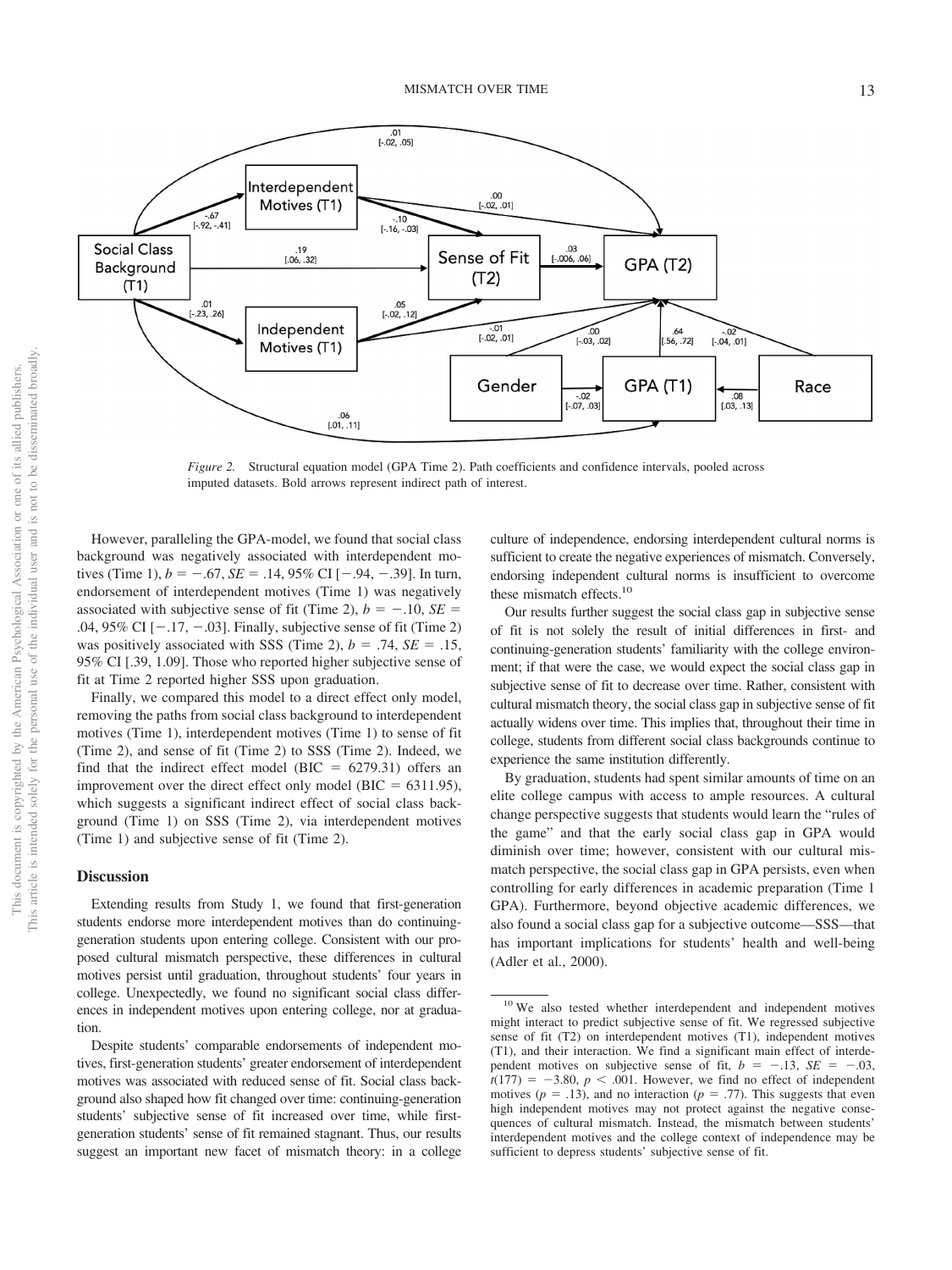

*Figure 2.* Structural equation model (GPA Time 2). Path coefficients and confidence intervals, pooled across imputed datasets. Bold arrows represent indirect path of interest.

However, paralleling the GPA-model, we found that social class background was negatively associated with interdependent motives (Time 1),  $b = -.67$ ,  $SE = .14$ ,  $95\%$  CI [ $-.94$ ,  $-.39$ ]. In turn, endorsement of interdependent motives (Time 1) was negatively associated with subjective sense of fit (Time 2),  $b = -.10$ ,  $SE =$ .04, 95% CI  $[-.17, -.03]$ . Finally, subjective sense of fit (Time 2) was positively associated with SSS (Time 2),  $b = .74$ ,  $SE = .15$ , 95% CI [.39, 1.09]. Those who reported higher subjective sense of fit at Time 2 reported higher SSS upon graduation.

Finally, we compared this model to a direct effect only model, removing the paths from social class background to interdependent motives (Time 1), interdependent motives (Time 1) to sense of fit (Time 2), and sense of fit (Time 2) to SSS (Time 2). Indeed, we find that the indirect effect model (BIC  $= 6279.31$ ) offers an improvement over the direct effect only model ( $BIC = 6311.95$ ), which suggests a significant indirect effect of social class background (Time 1) on SSS (Time 2), via interdependent motives (Time 1) and subjective sense of fit (Time 2).

#### **Discussion**

Extending results from Study 1, we found that first-generation students endorse more interdependent motives than do continuinggeneration students upon entering college. Consistent with our proposed cultural mismatch perspective, these differences in cultural motives persist until graduation, throughout students' four years in college. Unexpectedly, we found no significant social class differences in independent motives upon entering college, nor at graduation.

Despite students' comparable endorsements of independent motives, first-generation students' greater endorsement of interdependent motives was associated with reduced sense of fit. Social class background also shaped how fit changed over time: continuing-generation students' subjective sense of fit increased over time, while firstgeneration students' sense of fit remained stagnant. Thus, our results suggest an important new facet of mismatch theory: in a college culture of independence, endorsing interdependent cultural norms is sufficient to create the negative experiences of mismatch. Conversely, endorsing independent cultural norms is insufficient to overcome these mismatch effects.<sup>10</sup>

Our results further suggest the social class gap in subjective sense of fit is not solely the result of initial differences in first- and continuing-generation students' familiarity with the college environment; if that were the case, we would expect the social class gap in subjective sense of fit to decrease over time. Rather, consistent with cultural mismatch theory, the social class gap in subjective sense of fit actually widens over time. This implies that, throughout their time in college, students from different social class backgrounds continue to experience the same institution differently.

By graduation, students had spent similar amounts of time on an elite college campus with access to ample resources. A cultural change perspective suggests that students would learn the "rules of the game" and that the early social class gap in GPA would diminish over time; however, consistent with our cultural mismatch perspective, the social class gap in GPA persists, even when controlling for early differences in academic preparation (Time 1 GPA). Furthermore, beyond objective academic differences, we also found a social class gap for a subjective outcome—SSS—that has important implications for students' health and well-being (Adler et al., 2000).

<sup>&</sup>lt;sup>10</sup> We also tested whether interdependent and independent motives might interact to predict subjective sense of fit. We regressed subjective sense of fit (T2) on interdependent motives (T1), independent motives (T1), and their interaction. We find a significant main effect of interdependent motives on subjective sense of fit,  $b = -.13$ ,  $SE = -.03$ ,  $t(177) = -3.80, p < .001$ . However, we find no effect of independent motives ( $p = .13$ ), and no interaction ( $p = .77$ ). This suggests that even high independent motives may not protect against the negative consequences of cultural mismatch. Instead, the mismatch between students' interdependent motives and the college context of independence may be sufficient to depress students' subjective sense of fit.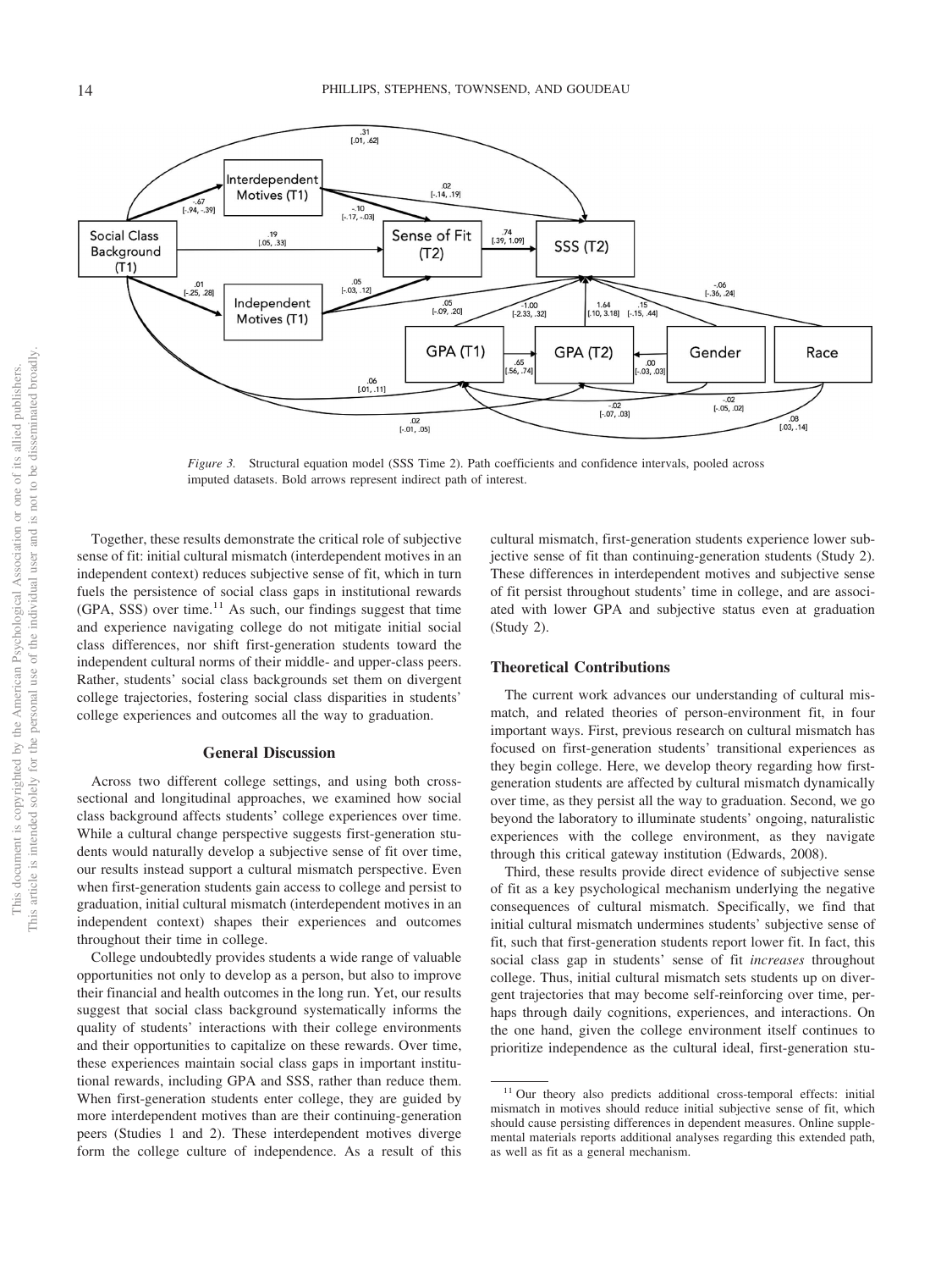

*Figure 3.* Structural equation model (SSS Time 2). Path coefficients and confidence intervals, pooled across imputed datasets. Bold arrows represent indirect path of interest.

Together, these results demonstrate the critical role of subjective sense of fit: initial cultural mismatch (interdependent motives in an independent context) reduces subjective sense of fit, which in turn fuels the persistence of social class gaps in institutional rewards  $(GPA, SSS)$  over time.<sup>11</sup> As such, our findings suggest that time and experience navigating college do not mitigate initial social class differences, nor shift first-generation students toward the independent cultural norms of their middle- and upper-class peers. Rather, students' social class backgrounds set them on divergent college trajectories, fostering social class disparities in students' college experiences and outcomes all the way to graduation.

#### **General Discussion**

Across two different college settings, and using both crosssectional and longitudinal approaches, we examined how social class background affects students' college experiences over time. While a cultural change perspective suggests first-generation students would naturally develop a subjective sense of fit over time, our results instead support a cultural mismatch perspective. Even when first-generation students gain access to college and persist to graduation, initial cultural mismatch (interdependent motives in an independent context) shapes their experiences and outcomes throughout their time in college.

College undoubtedly provides students a wide range of valuable opportunities not only to develop as a person, but also to improve their financial and health outcomes in the long run. Yet, our results suggest that social class background systematically informs the quality of students' interactions with their college environments and their opportunities to capitalize on these rewards. Over time, these experiences maintain social class gaps in important institutional rewards, including GPA and SSS, rather than reduce them. When first-generation students enter college, they are guided by more interdependent motives than are their continuing-generation peers (Studies 1 and 2). These interdependent motives diverge form the college culture of independence. As a result of this cultural mismatch, first-generation students experience lower subjective sense of fit than continuing-generation students (Study 2). These differences in interdependent motives and subjective sense of fit persist throughout students' time in college, and are associated with lower GPA and subjective status even at graduation (Study 2).

#### **Theoretical Contributions**

The current work advances our understanding of cultural mismatch, and related theories of person-environment fit, in four important ways. First, previous research on cultural mismatch has focused on first-generation students' transitional experiences as they begin college. Here, we develop theory regarding how firstgeneration students are affected by cultural mismatch dynamically over time, as they persist all the way to graduation. Second, we go beyond the laboratory to illuminate students' ongoing, naturalistic experiences with the college environment, as they navigate through this critical gateway institution (Edwards, 2008).

Third, these results provide direct evidence of subjective sense of fit as a key psychological mechanism underlying the negative consequences of cultural mismatch. Specifically, we find that initial cultural mismatch undermines students' subjective sense of fit, such that first-generation students report lower fit. In fact, this social class gap in students' sense of fit *increases* throughout college. Thus, initial cultural mismatch sets students up on divergent trajectories that may become self-reinforcing over time, perhaps through daily cognitions, experiences, and interactions. On the one hand, given the college environment itself continues to prioritize independence as the cultural ideal, first-generation stu-

<sup>&</sup>lt;sup>11</sup> Our theory also predicts additional cross-temporal effects: initial mismatch in motives should reduce initial subjective sense of fit, which should cause persisting differences in dependent measures. [Online supple](http://dx.doi.org/10.1037/pspi0000234.supp)[mental materials](http://dx.doi.org/10.1037/pspi0000234.supp) reports additional analyses regarding this extended path, as well as fit as a general mechanism.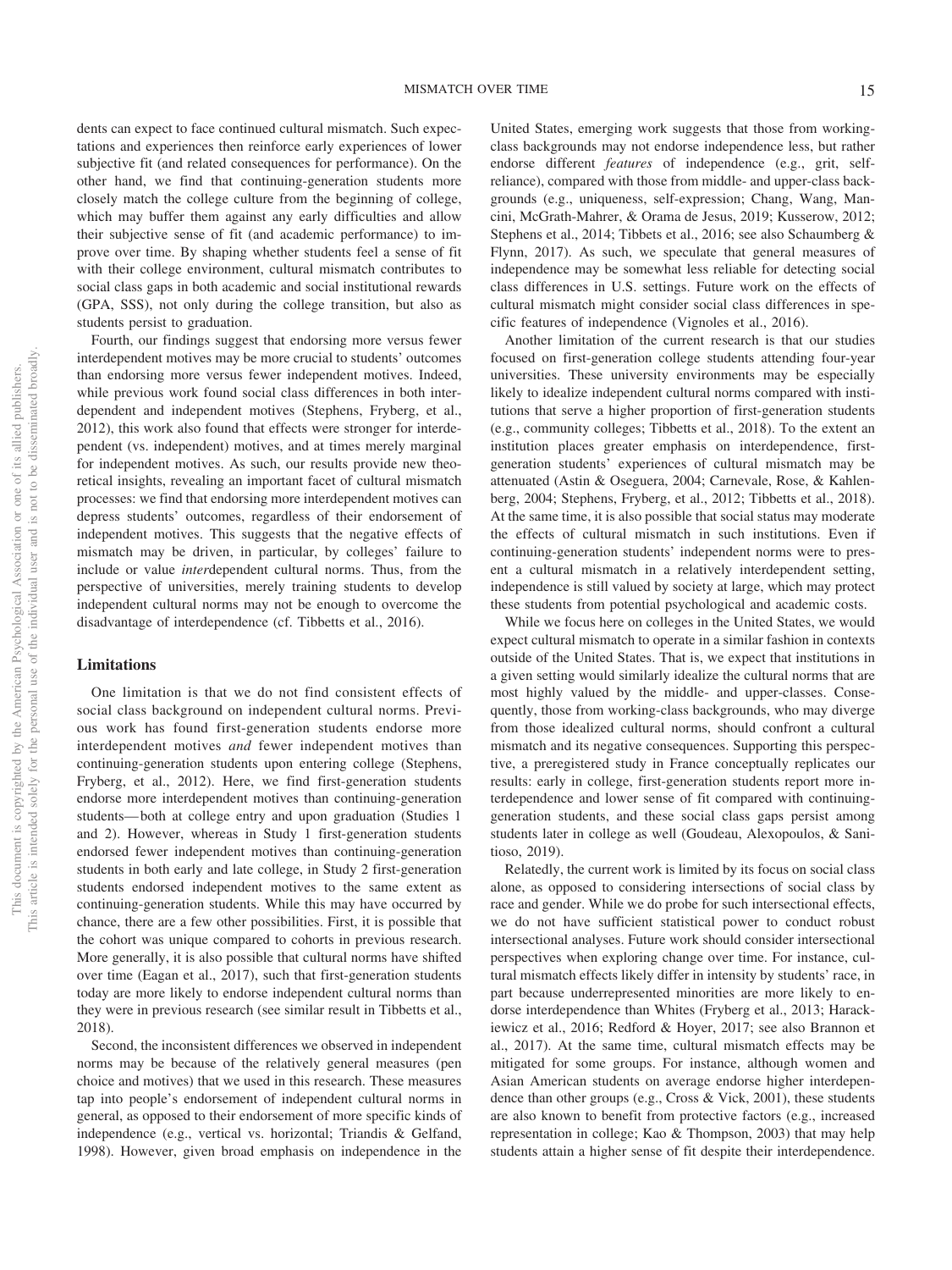dents can expect to face continued cultural mismatch. Such expectations and experiences then reinforce early experiences of lower subjective fit (and related consequences for performance). On the other hand, we find that continuing-generation students more closely match the college culture from the beginning of college, which may buffer them against any early difficulties and allow their subjective sense of fit (and academic performance) to improve over time. By shaping whether students feel a sense of fit with their college environment, cultural mismatch contributes to social class gaps in both academic and social institutional rewards (GPA, SSS), not only during the college transition, but also as students persist to graduation.

Fourth, our findings suggest that endorsing more versus fewer interdependent motives may be more crucial to students' outcomes than endorsing more versus fewer independent motives. Indeed, while previous work found social class differences in both interdependent and independent motives (Stephens, Fryberg, et al., 2012), this work also found that effects were stronger for interdependent (vs. independent) motives, and at times merely marginal for independent motives. As such, our results provide new theoretical insights, revealing an important facet of cultural mismatch processes: we find that endorsing more interdependent motives can depress students' outcomes, regardless of their endorsement of independent motives. This suggests that the negative effects of mismatch may be driven, in particular, by colleges' failure to include or value *inter*dependent cultural norms. Thus, from the perspective of universities, merely training students to develop independent cultural norms may not be enough to overcome the disadvantage of interdependence (cf. Tibbetts et al., 2016).

#### **Limitations**

One limitation is that we do not find consistent effects of social class background on independent cultural norms. Previous work has found first-generation students endorse more interdependent motives *and* fewer independent motives than continuing-generation students upon entering college (Stephens, Fryberg, et al., 2012). Here, we find first-generation students endorse more interdependent motives than continuing-generation students— both at college entry and upon graduation (Studies 1 and 2). However, whereas in Study 1 first-generation students endorsed fewer independent motives than continuing-generation students in both early and late college, in Study 2 first-generation students endorsed independent motives to the same extent as continuing-generation students. While this may have occurred by chance, there are a few other possibilities. First, it is possible that the cohort was unique compared to cohorts in previous research. More generally, it is also possible that cultural norms have shifted over time (Eagan et al., 2017), such that first-generation students today are more likely to endorse independent cultural norms than they were in previous research (see similar result in Tibbetts et al., 2018).

Second, the inconsistent differences we observed in independent norms may be because of the relatively general measures (pen choice and motives) that we used in this research. These measures tap into people's endorsement of independent cultural norms in general, as opposed to their endorsement of more specific kinds of independence (e.g., vertical vs. horizontal; Triandis & Gelfand, 1998). However, given broad emphasis on independence in the

United States, emerging work suggests that those from workingclass backgrounds may not endorse independence less, but rather endorse different *features* of independence (e.g., grit, selfreliance), compared with those from middle- and upper-class backgrounds (e.g., uniqueness, self-expression; Chang, Wang, Mancini, McGrath-Mahrer, & Orama de Jesus, 2019; Kusserow, 2012; Stephens et al., 2014; Tibbets et al., 2016; see also Schaumberg & Flynn, 2017). As such, we speculate that general measures of independence may be somewhat less reliable for detecting social class differences in U.S. settings. Future work on the effects of cultural mismatch might consider social class differences in specific features of independence (Vignoles et al., 2016).

Another limitation of the current research is that our studies focused on first-generation college students attending four-year universities. These university environments may be especially likely to idealize independent cultural norms compared with institutions that serve a higher proportion of first-generation students (e.g., community colleges; Tibbetts et al., 2018). To the extent an institution places greater emphasis on interdependence, firstgeneration students' experiences of cultural mismatch may be attenuated (Astin & Oseguera, 2004; Carnevale, Rose, & Kahlenberg, 2004; Stephens, Fryberg, et al., 2012; Tibbetts et al., 2018). At the same time, it is also possible that social status may moderate the effects of cultural mismatch in such institutions. Even if continuing-generation students' independent norms were to present a cultural mismatch in a relatively interdependent setting, independence is still valued by society at large, which may protect these students from potential psychological and academic costs.

While we focus here on colleges in the United States, we would expect cultural mismatch to operate in a similar fashion in contexts outside of the United States. That is, we expect that institutions in a given setting would similarly idealize the cultural norms that are most highly valued by the middle- and upper-classes. Consequently, those from working-class backgrounds, who may diverge from those idealized cultural norms, should confront a cultural mismatch and its negative consequences. Supporting this perspective, a preregistered study in France conceptually replicates our results: early in college, first-generation students report more interdependence and lower sense of fit compared with continuinggeneration students, and these social class gaps persist among students later in college as well (Goudeau, Alexopoulos, & Sanitioso, 2019).

Relatedly, the current work is limited by its focus on social class alone, as opposed to considering intersections of social class by race and gender. While we do probe for such intersectional effects, we do not have sufficient statistical power to conduct robust intersectional analyses. Future work should consider intersectional perspectives when exploring change over time. For instance, cultural mismatch effects likely differ in intensity by students' race, in part because underrepresented minorities are more likely to endorse interdependence than Whites (Fryberg et al., 2013; Harackiewicz et al., 2016; Redford & Hoyer, 2017; see also Brannon et al., 2017). At the same time, cultural mismatch effects may be mitigated for some groups. For instance, although women and Asian American students on average endorse higher interdependence than other groups (e.g., Cross & Vick, 2001), these students are also known to benefit from protective factors (e.g., increased representation in college; Kao & Thompson, 2003) that may help students attain a higher sense of fit despite their interdependence.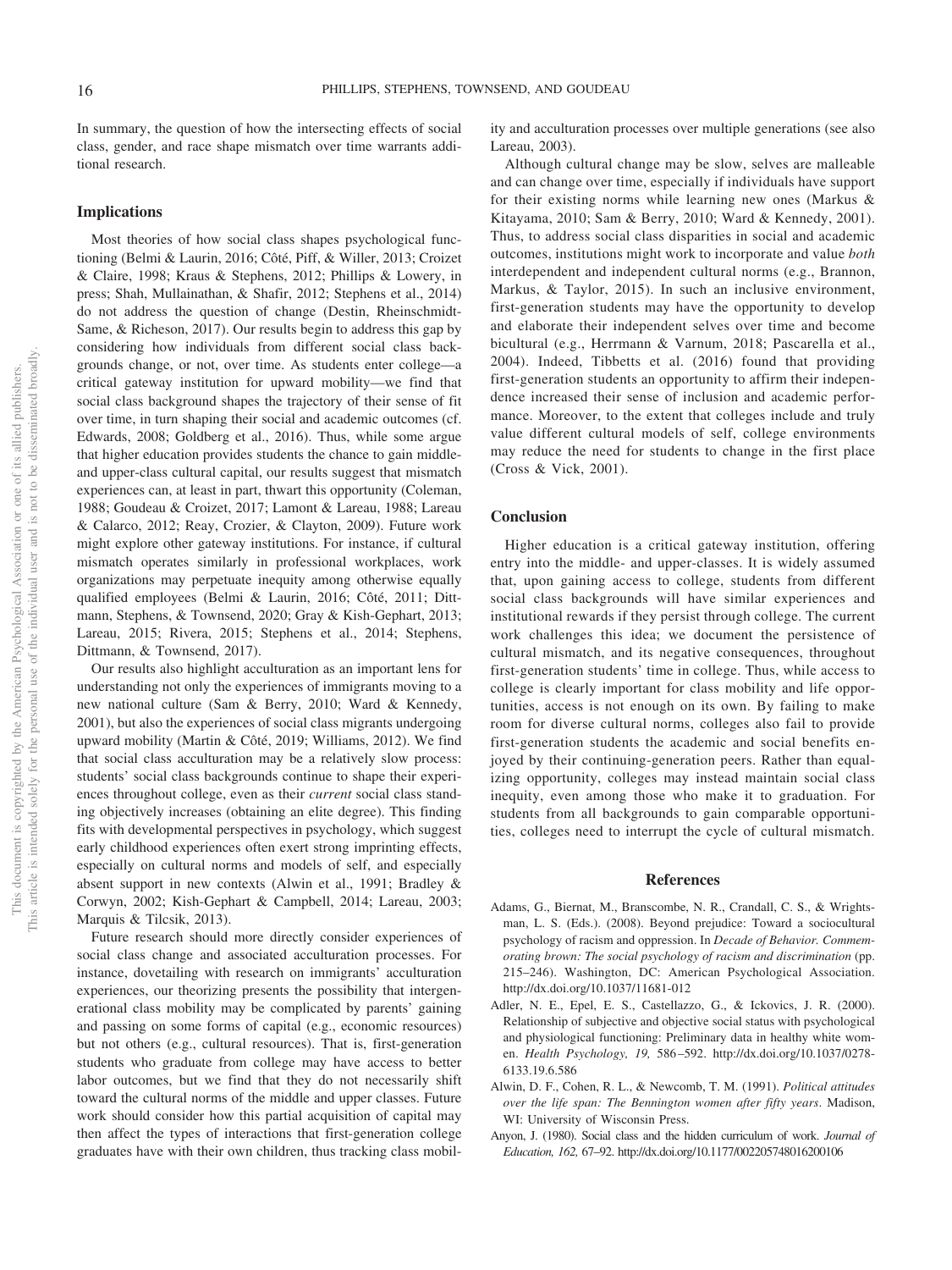In summary, the question of how the intersecting effects of social class, gender, and race shape mismatch over time warrants additional research.

#### **Implications**

Most theories of how social class shapes psychological functioning (Belmi & Laurin, 2016; Côté, Piff, & Willer, 2013; Croizet & Claire, 1998; Kraus & Stephens, 2012; Phillips & Lowery, in press; Shah, Mullainathan, & Shafir, 2012; Stephens et al., 2014) do not address the question of change (Destin, Rheinschmidt-Same, & Richeson, 2017). Our results begin to address this gap by considering how individuals from different social class backgrounds change, or not, over time. As students enter college—a critical gateway institution for upward mobility—we find that social class background shapes the trajectory of their sense of fit over time, in turn shaping their social and academic outcomes (cf. Edwards, 2008; Goldberg et al., 2016). Thus, while some argue that higher education provides students the chance to gain middleand upper-class cultural capital, our results suggest that mismatch experiences can, at least in part, thwart this opportunity (Coleman, 1988; Goudeau & Croizet, 2017; Lamont & Lareau, 1988; Lareau & Calarco, 2012; Reay, Crozier, & Clayton, 2009). Future work might explore other gateway institutions. For instance, if cultural mismatch operates similarly in professional workplaces, work organizations may perpetuate inequity among otherwise equally qualified employees (Belmi & Laurin, 2016; Côté, 2011; Dittmann, Stephens, & Townsend, 2020; Gray & Kish-Gephart, 2013; Lareau, 2015; Rivera, 2015; Stephens et al., 2014; Stephens, Dittmann, & Townsend, 2017).

Our results also highlight acculturation as an important lens for understanding not only the experiences of immigrants moving to a new national culture (Sam & Berry, 2010; Ward & Kennedy, 2001), but also the experiences of social class migrants undergoing upward mobility (Martin & Côté, 2019; Williams, 2012). We find that social class acculturation may be a relatively slow process: students' social class backgrounds continue to shape their experiences throughout college, even as their *current* social class standing objectively increases (obtaining an elite degree). This finding fits with developmental perspectives in psychology, which suggest early childhood experiences often exert strong imprinting effects, especially on cultural norms and models of self, and especially absent support in new contexts (Alwin et al., 1991; Bradley & Corwyn, 2002; Kish-Gephart & Campbell, 2014; Lareau, 2003; Marquis & Tilcsik, 2013).

Future research should more directly consider experiences of social class change and associated acculturation processes. For instance, dovetailing with research on immigrants' acculturation experiences, our theorizing presents the possibility that intergenerational class mobility may be complicated by parents' gaining and passing on some forms of capital (e.g., economic resources) but not others (e.g., cultural resources). That is, first-generation students who graduate from college may have access to better labor outcomes, but we find that they do not necessarily shift toward the cultural norms of the middle and upper classes. Future work should consider how this partial acquisition of capital may then affect the types of interactions that first-generation college graduates have with their own children, thus tracking class mobility and acculturation processes over multiple generations (see also Lareau, 2003).

Although cultural change may be slow, selves are malleable and can change over time, especially if individuals have support for their existing norms while learning new ones (Markus & Kitayama, 2010; Sam & Berry, 2010; Ward & Kennedy, 2001). Thus, to address social class disparities in social and academic outcomes, institutions might work to incorporate and value *both* interdependent and independent cultural norms (e.g., Brannon, Markus, & Taylor, 2015). In such an inclusive environment, first-generation students may have the opportunity to develop and elaborate their independent selves over time and become bicultural (e.g., Herrmann & Varnum, 2018; Pascarella et al., 2004). Indeed, Tibbetts et al. (2016) found that providing first-generation students an opportunity to affirm their independence increased their sense of inclusion and academic performance. Moreover, to the extent that colleges include and truly value different cultural models of self, college environments may reduce the need for students to change in the first place (Cross & Vick, 2001).

#### **Conclusion**

Higher education is a critical gateway institution, offering entry into the middle- and upper-classes. It is widely assumed that, upon gaining access to college, students from different social class backgrounds will have similar experiences and institutional rewards if they persist through college. The current work challenges this idea; we document the persistence of cultural mismatch, and its negative consequences, throughout first-generation students' time in college. Thus, while access to college is clearly important for class mobility and life opportunities, access is not enough on its own. By failing to make room for diverse cultural norms, colleges also fail to provide first-generation students the academic and social benefits enjoyed by their continuing-generation peers. Rather than equalizing opportunity, colleges may instead maintain social class inequity, even among those who make it to graduation. For students from all backgrounds to gain comparable opportunities, colleges need to interrupt the cycle of cultural mismatch.

#### **References**

- Adams, G., Biernat, M., Branscombe, N. R., Crandall, C. S., & Wrightsman, L. S. (Eds.). (2008). Beyond prejudice: Toward a sociocultural psychology of racism and oppression. In *Decade of Behavior. Commemorating brown: The social psychology of racism and discrimination* (pp. 215–246). Washington, DC: American Psychological Association. <http://dx.doi.org/10.1037/11681-012>
- Adler, N. E., Epel, E. S., Castellazzo, G., & Ickovics, J. R. (2000). Relationship of subjective and objective social status with psychological and physiological functioning: Preliminary data in healthy white women. *Health Psychology, 19,* 586 –592. [http://dx.doi.org/10.1037/0278-](http://dx.doi.org/10.1037/0278-6133.19.6.586) [6133.19.6.586](http://dx.doi.org/10.1037/0278-6133.19.6.586)
- Alwin, D. F., Cohen, R. L., & Newcomb, T. M. (1991). *Political attitudes over the life span: The Bennington women after fifty years*. Madison, WI: University of Wisconsin Press.
- Anyon, J. (1980). Social class and the hidden curriculum of work. *Journal of Education, 162,* 67–92.<http://dx.doi.org/10.1177/002205748016200106>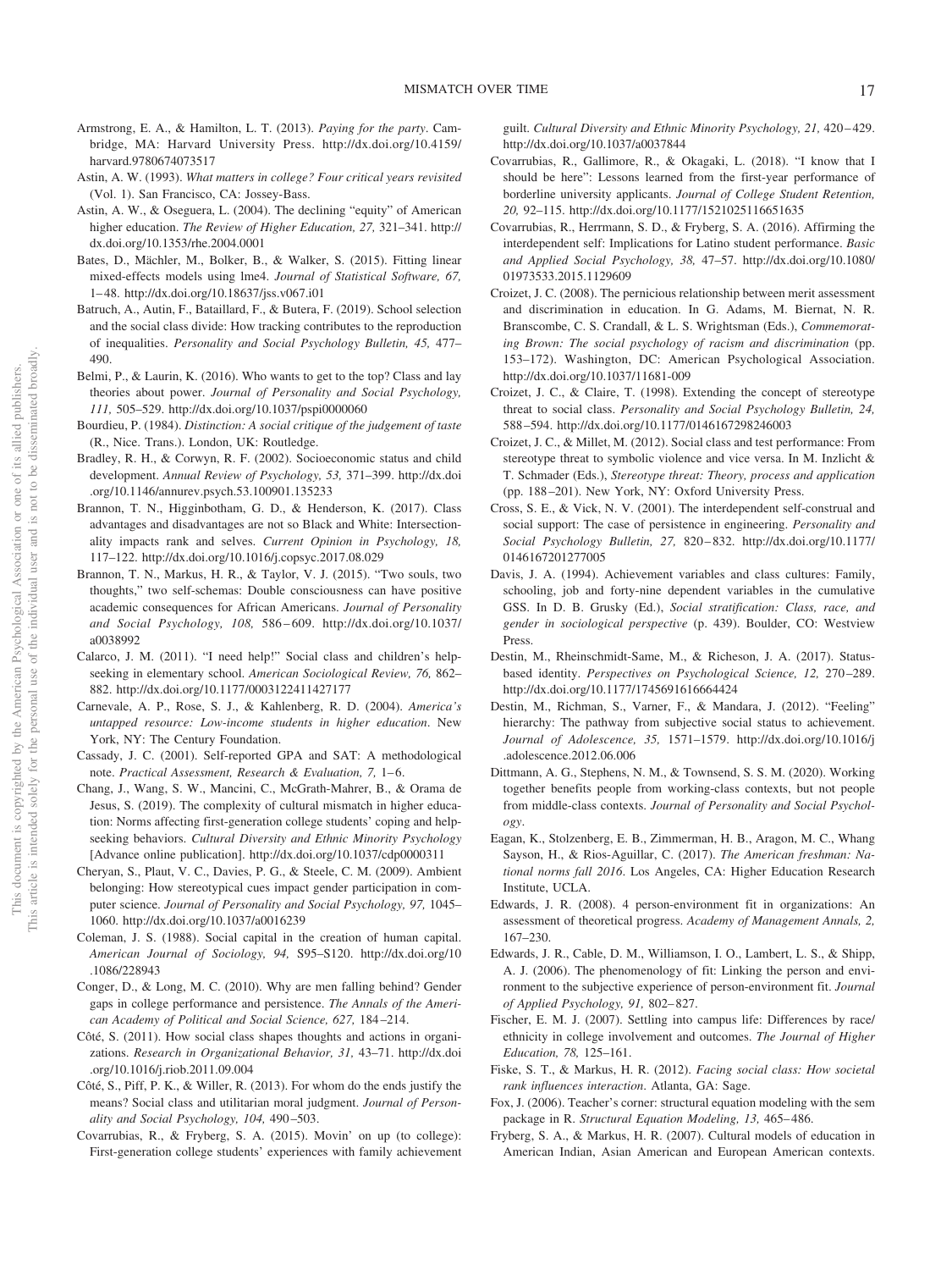- Armstrong, E. A., & Hamilton, L. T. (2013). *Paying for the party*. Cambridge, MA: Harvard University Press. [http://dx.doi.org/10.4159/](http://dx.doi.org/10.4159/harvard.9780674073517) [harvard.9780674073517](http://dx.doi.org/10.4159/harvard.9780674073517)
- Astin, A. W. (1993). *What matters in college? Four critical years revisited* (Vol. 1). San Francisco, CA: Jossey-Bass.
- Astin, A. W., & Oseguera, L. (2004). The declining "equity" of American higher education. *The Review of Higher Education, 27,* 321–341. [http://](http://dx.doi.org/10.1353/rhe.2004.0001) [dx.doi.org/10.1353/rhe.2004.0001](http://dx.doi.org/10.1353/rhe.2004.0001)
- Bates, D., Mächler, M., Bolker, B., & Walker, S. (2015). Fitting linear mixed-effects models using lme4. *Journal of Statistical Software, 67,* 1– 48.<http://dx.doi.org/10.18637/jss.v067.i01>
- Batruch, A., Autin, F., Bataillard, F., & Butera, F. (2019). School selection and the social class divide: How tracking contributes to the reproduction of inequalities. *Personality and Social Psychology Bulletin, 45,* 477– 490.
- Belmi, P., & Laurin, K. (2016). Who wants to get to the top? Class and lay theories about power. *Journal of Personality and Social Psychology, 111,* 505–529.<http://dx.doi.org/10.1037/pspi0000060>
- Bourdieu, P. (1984). *Distinction: A social critique of the judgement of taste* (R., Nice. Trans.). London, UK: Routledge.
- Bradley, R. H., & Corwyn, R. F. (2002). Socioeconomic status and child development. *Annual Review of Psychology, 53,* 371–399. [http://dx.doi](http://dx.doi.org/10.1146/annurev.psych.53.100901.135233) [.org/10.1146/annurev.psych.53.100901.135233](http://dx.doi.org/10.1146/annurev.psych.53.100901.135233)
- Brannon, T. N., Higginbotham, G. D., & Henderson, K. (2017). Class advantages and disadvantages are not so Black and White: Intersectionality impacts rank and selves. *Current Opinion in Psychology, 18,* 117–122.<http://dx.doi.org/10.1016/j.copsyc.2017.08.029>
- Brannon, T. N., Markus, H. R., & Taylor, V. J. (2015). "Two souls, two thoughts," two self-schemas: Double consciousness can have positive academic consequences for African Americans. *Journal of Personality and Social Psychology, 108,* 586 – 609. [http://dx.doi.org/10.1037/](http://dx.doi.org/10.1037/a0038992) [a0038992](http://dx.doi.org/10.1037/a0038992)
- Calarco, J. M. (2011). "I need help!" Social class and children's helpseeking in elementary school. *American Sociological Review, 76,* 862– 882.<http://dx.doi.org/10.1177/0003122411427177>
- Carnevale, A. P., Rose, S. J., & Kahlenberg, R. D. (2004). *America's untapped resource: Low-income students in higher education*. New York, NY: The Century Foundation.
- Cassady, J. C. (2001). Self-reported GPA and SAT: A methodological note. *Practical Assessment, Research & Evaluation, 7, 1-6.*
- Chang, J., Wang, S. W., Mancini, C., McGrath-Mahrer, B., & Orama de Jesus, S. (2019). The complexity of cultural mismatch in higher education: Norms affecting first-generation college students' coping and helpseeking behaviors. *Cultural Diversity and Ethnic Minority Psychology* [Advance online publication].<http://dx.doi.org/10.1037/cdp0000311>
- Cheryan, S., Plaut, V. C., Davies, P. G., & Steele, C. M. (2009). Ambient belonging: How stereotypical cues impact gender participation in computer science. *Journal of Personality and Social Psychology, 97,* 1045– 1060.<http://dx.doi.org/10.1037/a0016239>
- Coleman, J. S. (1988). Social capital in the creation of human capital. *American Journal of Sociology, 94,* S95–S120. [http://dx.doi.org/10](http://dx.doi.org/10.1086/228943) [.1086/228943](http://dx.doi.org/10.1086/228943)
- Conger, D., & Long, M. C. (2010). Why are men falling behind? Gender gaps in college performance and persistence. *The Annals of the American Academy of Political and Social Science, 627,* 184 –214.
- Côté, S. (2011). How social class shapes thoughts and actions in organizations. *Research in Organizational Behavior, 31,* 43–71. [http://dx.doi](http://dx.doi.org/10.1016/j.riob.2011.09.004) [.org/10.1016/j.riob.2011.09.004](http://dx.doi.org/10.1016/j.riob.2011.09.004)
- Côté, S., Piff, P. K., & Willer, R. (2013). For whom do the ends justify the means? Social class and utilitarian moral judgment. *Journal of Personality and Social Psychology, 104,* 490 –503.
- Covarrubias, R., & Fryberg, S. A. (2015). Movin' on up (to college): First-generation college students' experiences with family achievement

guilt. *Cultural Diversity and Ethnic Minority Psychology, 21,* 420 – 429. <http://dx.doi.org/10.1037/a0037844>

- Covarrubias, R., Gallimore, R., & Okagaki, L. (2018). "I know that I should be here": Lessons learned from the first-year performance of borderline university applicants. *Journal of College Student Retention, 20,* 92–115.<http://dx.doi.org/10.1177/1521025116651635>
- Covarrubias, R., Herrmann, S. D., & Fryberg, S. A. (2016). Affirming the interdependent self: Implications for Latino student performance. *Basic and Applied Social Psychology, 38,* 47–57. [http://dx.doi.org/10.1080/](http://dx.doi.org/10.1080/01973533.2015.1129609) [01973533.2015.1129609](http://dx.doi.org/10.1080/01973533.2015.1129609)
- Croizet, J. C. (2008). The pernicious relationship between merit assessment and discrimination in education. In G. Adams, M. Biernat, N. R. Branscombe, C. S. Crandall, & L. S. Wrightsman (Eds.), *Commemorating Brown: The social psychology of racism and discrimination* (pp. 153–172). Washington, DC: American Psychological Association. <http://dx.doi.org/10.1037/11681-009>
- Croizet, J. C., & Claire, T. (1998). Extending the concept of stereotype threat to social class. *Personality and Social Psychology Bulletin, 24,* 588 –594.<http://dx.doi.org/10.1177/0146167298246003>
- Croizet, J. C., & Millet, M. (2012). Social class and test performance: From stereotype threat to symbolic violence and vice versa. In M. Inzlicht & T. Schmader (Eds.), *Stereotype threat: Theory, process and application* (pp. 188 –201). New York, NY: Oxford University Press.
- Cross, S. E., & Vick, N. V. (2001). The interdependent self-construal and social support: The case of persistence in engineering. *Personality and Social Psychology Bulletin, 27,* 820 – 832. [http://dx.doi.org/10.1177/](http://dx.doi.org/10.1177/0146167201277005) [0146167201277005](http://dx.doi.org/10.1177/0146167201277005)
- Davis, J. A. (1994). Achievement variables and class cultures: Family, schooling, job and forty-nine dependent variables in the cumulative GSS. In D. B. Grusky (Ed.), *Social stratification: Class, race, and gender in sociological perspective* (p. 439). Boulder, CO: Westview Press.
- Destin, M., Rheinschmidt-Same, M., & Richeson, J. A. (2017). Statusbased identity. *Perspectives on Psychological Science, 12,* 270 –289. <http://dx.doi.org/10.1177/1745691616664424>
- Destin, M., Richman, S., Varner, F., & Mandara, J. (2012). "Feeling" hierarchy: The pathway from subjective social status to achievement. *Journal of Adolescence, 35,* 1571–1579. [http://dx.doi.org/10.1016/j](http://dx.doi.org/10.1016/j.adolescence.2012.06.006) [.adolescence.2012.06.006](http://dx.doi.org/10.1016/j.adolescence.2012.06.006)
- Dittmann, A. G., Stephens, N. M., & Townsend, S. S. M. (2020). Working together benefits people from working-class contexts, but not people from middle-class contexts. *Journal of Personality and Social Psychology*.
- Eagan, K., Stolzenberg, E. B., Zimmerman, H. B., Aragon, M. C., Whang Sayson, H., & Rios-Aguillar, C. (2017). *The American freshman: National norms fall 2016*. Los Angeles, CA: Higher Education Research Institute, UCLA.
- Edwards, J. R. (2008). 4 person-environment fit in organizations: An assessment of theoretical progress. *Academy of Management Annals, 2,* 167–230.
- Edwards, J. R., Cable, D. M., Williamson, I. O., Lambert, L. S., & Shipp, A. J. (2006). The phenomenology of fit: Linking the person and environment to the subjective experience of person-environment fit. *Journal of Applied Psychology, 91,* 802– 827.
- Fischer, E. M. J. (2007). Settling into campus life: Differences by race/ ethnicity in college involvement and outcomes. *The Journal of Higher Education, 78,* 125–161.
- Fiske, S. T., & Markus, H. R. (2012). *Facing social class: How societal rank influences interaction*. Atlanta, GA: Sage.
- Fox, J. (2006). Teacher's corner: structural equation modeling with the sem package in R. *Structural Equation Modeling, 13,* 465– 486.
- Fryberg, S. A., & Markus, H. R. (2007). Cultural models of education in American Indian, Asian American and European American contexts.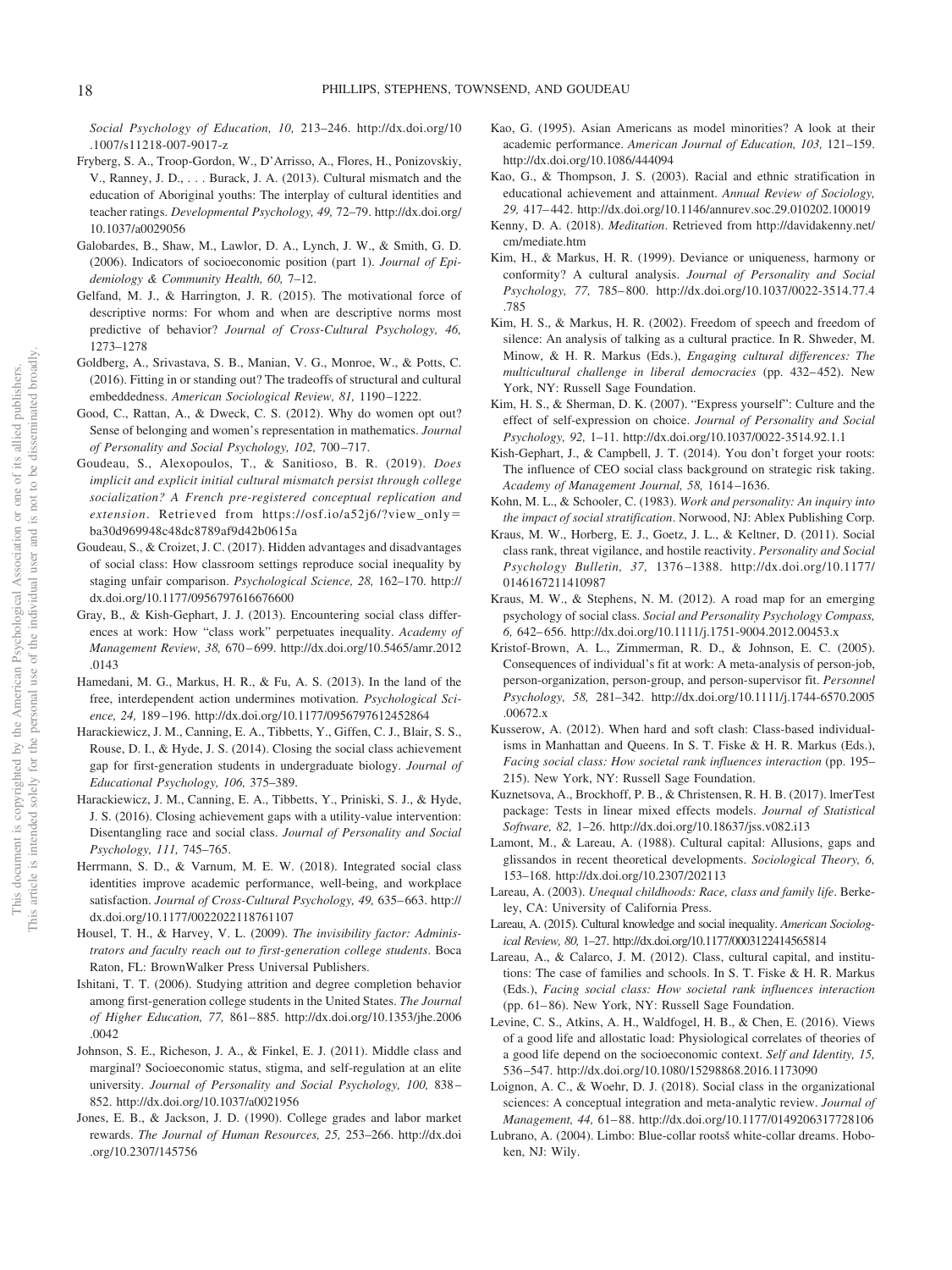*Social Psychology of Education, 10,* 213–246. [http://dx.doi.org/10](http://dx.doi.org/10.1007/s11218-007-9017-z) [.1007/s11218-007-9017-z](http://dx.doi.org/10.1007/s11218-007-9017-z)

- Fryberg, S. A., Troop-Gordon, W., D'Arrisso, A., Flores, H., Ponizovskiy, V., Ranney, J. D.,... Burack, J. A. (2013). Cultural mismatch and the education of Aboriginal youths: The interplay of cultural identities and teacher ratings. *Developmental Psychology, 49,* 72–79. [http://dx.doi.org/](http://dx.doi.org/10.1037/a0029056) [10.1037/a0029056](http://dx.doi.org/10.1037/a0029056)
- Galobardes, B., Shaw, M., Lawlor, D. A., Lynch, J. W., & Smith, G. D. (2006). Indicators of socioeconomic position (part 1). *Journal of Epidemiology & Community Health, 60,* 7–12.
- Gelfand, M. J., & Harrington, J. R. (2015). The motivational force of descriptive norms: For whom and when are descriptive norms most predictive of behavior? *Journal of Cross-Cultural Psychology, 46,* 1273–1278
- Goldberg, A., Srivastava, S. B., Manian, V. G., Monroe, W., & Potts, C. (2016). Fitting in or standing out? The tradeoffs of structural and cultural embeddedness. *American Sociological Review, 81,* 1190 –1222.
- Good, C., Rattan, A., & Dweck, C. S. (2012). Why do women opt out? Sense of belonging and women's representation in mathematics. *Journal of Personality and Social Psychology, 102,* 700 –717.
- Goudeau, S., Alexopoulos, T., & Sanitioso, B. R. (2019). *Does implicit and explicit initial cultural mismatch persist through college socialization? A French pre-registered conceptual replication and extension*. Retrieved from [https://osf.io/a52j6/?view\\_only](https://osf.io/a52j6/?view_only=ba30d969948c48dc8789af9d42b0615a) [ba30d969948c48dc8789af9d42b0615a](https://osf.io/a52j6/?view_only=ba30d969948c48dc8789af9d42b0615a)
- Goudeau, S., & Croizet, J. C. (2017). Hidden advantages and disadvantages of social class: How classroom settings reproduce social inequality by staging unfair comparison. *Psychological Science, 28,* 162–170. [http://](http://dx.doi.org/10.1177/0956797616676600) [dx.doi.org/10.1177/0956797616676600](http://dx.doi.org/10.1177/0956797616676600)
- Gray, B., & Kish-Gephart, J. J. (2013). Encountering social class differences at work: How "class work" perpetuates inequality. *Academy of Management Review, 38,* 670 – 699. [http://dx.doi.org/10.5465/amr.2012](http://dx.doi.org/10.5465/amr.2012.0143) [.0143](http://dx.doi.org/10.5465/amr.2012.0143)
- Hamedani, M. G., Markus, H. R., & Fu, A. S. (2013). In the land of the free, interdependent action undermines motivation. *Psychological Science, 24,* 189 –196.<http://dx.doi.org/10.1177/0956797612452864>
- Harackiewicz, J. M., Canning, E. A., Tibbetts, Y., Giffen, C. J., Blair, S. S., Rouse, D. I., & Hyde, J. S. (2014). Closing the social class achievement gap for first-generation students in undergraduate biology. *Journal of Educational Psychology, 106,* 375–389.
- Harackiewicz, J. M., Canning, E. A., Tibbetts, Y., Priniski, S. J., & Hyde, J. S. (2016). Closing achievement gaps with a utility-value intervention: Disentangling race and social class. *Journal of Personality and Social Psychology, 111,* 745–765.
- Herrmann, S. D., & Varnum, M. E. W. (2018). Integrated social class identities improve academic performance, well-being, and workplace satisfaction. *Journal of Cross-Cultural Psychology*, 49, 635-663. [http://](http://dx.doi.org/10.1177/0022022118761107) [dx.doi.org/10.1177/0022022118761107](http://dx.doi.org/10.1177/0022022118761107)
- Housel, T. H., & Harvey, V. L. (2009). *The invisibility factor: Administrators and faculty reach out to first-generation college students*. Boca Raton, FL: BrownWalker Press Universal Publishers.
- Ishitani, T. T. (2006). Studying attrition and degree completion behavior among first-generation college students in the United States. *The Journal of Higher Education, 77,* 861– 885. [http://dx.doi.org/10.1353/jhe.2006](http://dx.doi.org/10.1353/jhe.2006.0042) [.0042](http://dx.doi.org/10.1353/jhe.2006.0042)
- Johnson, S. E., Richeson, J. A., & Finkel, E. J. (2011). Middle class and marginal? Socioeconomic status, stigma, and self-regulation at an elite university. *Journal of Personality and Social Psychology, 100,* 838 – 852.<http://dx.doi.org/10.1037/a0021956>
- Jones, E. B., & Jackson, J. D. (1990). College grades and labor market rewards. *The Journal of Human Resources, 25,* 253–266. [http://dx.doi](http://dx.doi.org/10.2307/145756) [.org/10.2307/145756](http://dx.doi.org/10.2307/145756)
- Kao, G. (1995). Asian Americans as model minorities? A look at their academic performance. *American Journal of Education, 103,* 121–159. <http://dx.doi.org/10.1086/444094>
- Kao, G., & Thompson, J. S. (2003). Racial and ethnic stratification in educational achievement and attainment. *Annual Review of Sociology, 29,* 417– 442.<http://dx.doi.org/10.1146/annurev.soc.29.010202.100019>
- Kenny, D. A. (2018). *Meditation*. Retrieved from [http://davidakenny.net/](http://davidakenny.net/cm/mediate.htm) [cm/mediate.htm](http://davidakenny.net/cm/mediate.htm)
- Kim, H., & Markus, H. R. (1999). Deviance or uniqueness, harmony or conformity? A cultural analysis. *Journal of Personality and Social Psychology, 77,* 785– 800. [http://dx.doi.org/10.1037/0022-3514.77.4](http://dx.doi.org/10.1037/0022-3514.77.4.785) [.785](http://dx.doi.org/10.1037/0022-3514.77.4.785)
- Kim, H. S., & Markus, H. R. (2002). Freedom of speech and freedom of silence: An analysis of talking as a cultural practice. In R. Shweder, M. Minow, & H. R. Markus (Eds.), *Engaging cultural differences: The multicultural challenge in liberal democracies* (pp. 432– 452). New York, NY: Russell Sage Foundation.
- Kim, H. S., & Sherman, D. K. (2007). "Express yourself": Culture and the effect of self-expression on choice. *Journal of Personality and Social Psychology, 92,* 1–11.<http://dx.doi.org/10.1037/0022-3514.92.1.1>
- Kish-Gephart, J., & Campbell, J. T. (2014). You don't forget your roots: The influence of CEO social class background on strategic risk taking. *Academy of Management Journal, 58,* 1614 –1636.
- Kohn, M. L., & Schooler, C. (1983). *Work and personality: An inquiry into the impact of social stratification*. Norwood, NJ: Ablex Publishing Corp.
- Kraus, M. W., Horberg, E. J., Goetz, J. L., & Keltner, D. (2011). Social class rank, threat vigilance, and hostile reactivity. *Personality and Social Psychology Bulletin, 37,* 1376 –1388. [http://dx.doi.org/10.1177/](http://dx.doi.org/10.1177/0146167211410987) [0146167211410987](http://dx.doi.org/10.1177/0146167211410987)
- Kraus, M. W., & Stephens, N. M. (2012). A road map for an emerging psychology of social class. *Social and Personality Psychology Compass, 6,* 642– 656.<http://dx.doi.org/10.1111/j.1751-9004.2012.00453.x>
- Kristof-Brown, A. L., Zimmerman, R. D., & Johnson, E. C. (2005). Consequences of individual's fit at work: A meta-analysis of person-job, person-organization, person-group, and person-supervisor fit. *Personnel Psychology, 58,* 281–342. [http://dx.doi.org/10.1111/j.1744-6570.2005](http://dx.doi.org/10.1111/j.1744-6570.2005.00672.x) [.00672.x](http://dx.doi.org/10.1111/j.1744-6570.2005.00672.x)
- Kusserow, A. (2012). When hard and soft clash: Class-based individualisms in Manhattan and Queens. In S. T. Fiske & H. R. Markus (Eds.), *Facing social class: How societal rank influences interaction* (pp. 195– 215). New York, NY: Russell Sage Foundation.
- Kuznetsova, A., Brockhoff, P. B., & Christensen, R. H. B. (2017). lmerTest package: Tests in linear mixed effects models. *Journal of Statistical Software, 82,* 1–26.<http://dx.doi.org/10.18637/jss.v082.i13>
- Lamont, M., & Lareau, A. (1988). Cultural capital: Allusions, gaps and glissandos in recent theoretical developments. *Sociological Theory, 6,* 153–168.<http://dx.doi.org/10.2307/202113>
- Lareau, A. (2003). *Unequal childhoods: Race, class and family life*. Berkeley, CA: University of California Press.
- Lareau, A. (2015). Cultural knowledge and social inequality. *American Sociological Review, 80,* 1–27.<http://dx.doi.org/10.1177/0003122414565814>
- Lareau, A., & Calarco, J. M. (2012). Class, cultural capital, and institutions: The case of families and schools. In S. T. Fiske & H. R. Markus (Eds.), *Facing social class: How societal rank influences interaction* (pp. 61– 86). New York, NY: Russell Sage Foundation.
- Levine, C. S., Atkins, A. H., Waldfogel, H. B., & Chen, E. (2016). Views of a good life and allostatic load: Physiological correlates of theories of a good life depend on the socioeconomic context. *Self and Identity, 15,* 536 –547.<http://dx.doi.org/10.1080/15298868.2016.1173090>
- Loignon, A. C., & Woehr, D. J. (2018). Social class in the organizational sciences: A conceptual integration and meta-analytic review. *Journal of Management, 44,* 61– 88.<http://dx.doi.org/10.1177/0149206317728106>
- Lubrano, A. (2004). Limbo: Blue-collar rootsš white-collar dreams. Hoboken, NJ: Wily.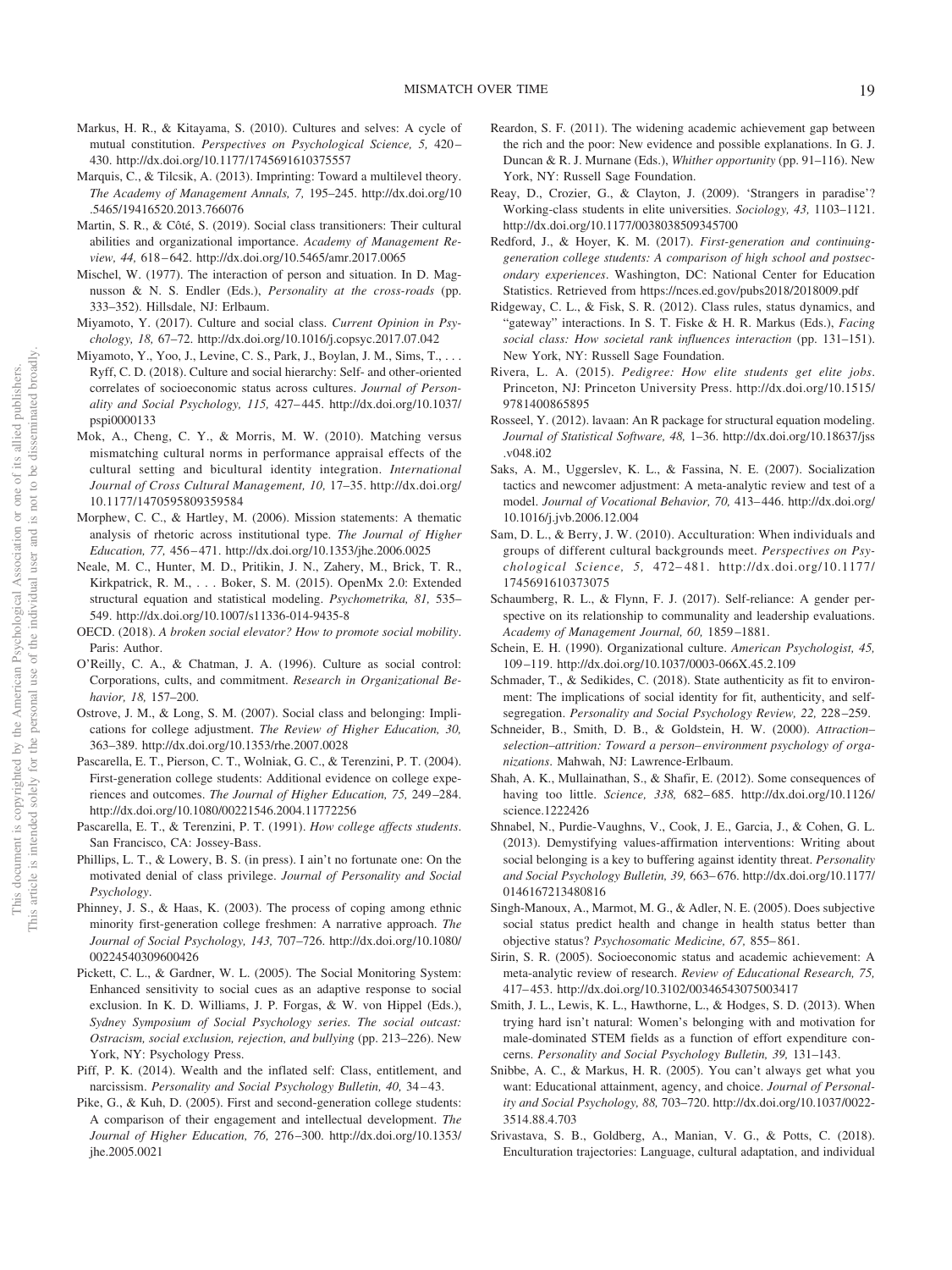- Markus, H. R., & Kitayama, S. (2010). Cultures and selves: A cycle of mutual constitution. *Perspectives on Psychological Science, 5,* 420 – 430.<http://dx.doi.org/10.1177/1745691610375557>
- Marquis, C., & Tilcsik, A. (2013). Imprinting: Toward a multilevel theory. *The Academy of Management Annals, 7,* 195–245. [http://dx.doi.org/10](http://dx.doi.org/10.5465/19416520.2013.766076) [.5465/19416520.2013.766076](http://dx.doi.org/10.5465/19416520.2013.766076)
- Martin, S. R., & Côté, S. (2019). Social class transitioners: Their cultural abilities and organizational importance. *Academy of Management Review, 44,* 618 – 642.<http://dx.doi.org/10.5465/amr.2017.0065>
- Mischel, W. (1977). The interaction of person and situation. In D. Magnusson & N. S. Endler (Eds.), *Personality at the cross-roads* (pp. 333–352). Hillsdale, NJ: Erlbaum.
- Miyamoto, Y. (2017). Culture and social class. *Current Opinion in Psychology, 18,* 67–72.<http://dx.doi.org/10.1016/j.copsyc.2017.07.042>
- Miyamoto, Y., Yoo, J., Levine, C. S., Park, J., Boylan, J. M., Sims, T.,... Ryff, C. D. (2018). Culture and social hierarchy: Self- and other-oriented correlates of socioeconomic status across cultures. *Journal of Personality and Social Psychology, 115,* 427– 445. [http://dx.doi.org/10.1037/](http://dx.doi.org/10.1037/pspi0000133) [pspi0000133](http://dx.doi.org/10.1037/pspi0000133)
- Mok, A., Cheng, C. Y., & Morris, M. W. (2010). Matching versus mismatching cultural norms in performance appraisal effects of the cultural setting and bicultural identity integration. *International Journal of Cross Cultural Management, 10,* 17–35. [http://dx.doi.org/](http://dx.doi.org/10.1177/1470595809359584) [10.1177/1470595809359584](http://dx.doi.org/10.1177/1470595809359584)
- Morphew, C. C., & Hartley, M. (2006). Mission statements: A thematic analysis of rhetoric across institutional type. *The Journal of Higher Education, 77,* 456 – 471.<http://dx.doi.org/10.1353/jhe.2006.0025>
- Neale, M. C., Hunter, M. D., Pritikin, J. N., Zahery, M., Brick, T. R., Kirkpatrick, R. M.,... Boker, S. M. (2015). OpenMx 2.0: Extended structural equation and statistical modeling. *Psychometrika, 81,* 535– 549.<http://dx.doi.org/10.1007/s11336-014-9435-8>
- OECD. (2018). *A broken social elevator? How to promote social mobility*. Paris: Author.
- O'Reilly, C. A., & Chatman, J. A. (1996). Culture as social control: Corporations, cults, and commitment. *Research in Organizational Behavior, 18,* 157–200.
- Ostrove, J. M., & Long, S. M. (2007). Social class and belonging: Implications for college adjustment. *The Review of Higher Education, 30,* 363–389.<http://dx.doi.org/10.1353/rhe.2007.0028>
- Pascarella, E. T., Pierson, C. T., Wolniak, G. C., & Terenzini, P. T. (2004). First-generation college students: Additional evidence on college experiences and outcomes. *The Journal of Higher Education, 75,* 249 –284. <http://dx.doi.org/10.1080/00221546.2004.11772256>
- Pascarella, E. T., & Terenzini, P. T. (1991). *How college affects students*. San Francisco, CA: Jossey-Bass.
- Phillips, L. T., & Lowery, B. S. (in press). I ain't no fortunate one: On the motivated denial of class privilege. *Journal of Personality and Social Psychology*.
- Phinney, J. S., & Haas, K. (2003). The process of coping among ethnic minority first-generation college freshmen: A narrative approach. *The Journal of Social Psychology, 143,* 707–726. [http://dx.doi.org/10.1080/](http://dx.doi.org/10.1080/00224540309600426) [00224540309600426](http://dx.doi.org/10.1080/00224540309600426)
- Pickett, C. L., & Gardner, W. L. (2005). The Social Monitoring System: Enhanced sensitivity to social cues as an adaptive response to social exclusion. In K. D. Williams, J. P. Forgas, & W. von Hippel (Eds.), *Sydney Symposium of Social Psychology series. The social outcast: Ostracism, social exclusion, rejection, and bullying* (pp. 213–226). New York, NY: Psychology Press.
- Piff, P. K. (2014). Wealth and the inflated self: Class, entitlement, and narcissism. *Personality and Social Psychology Bulletin, 40,* 34 – 43.
- Pike, G., & Kuh, D. (2005). First and second-generation college students: A comparison of their engagement and intellectual development. *The Journal of Higher Education, 76,* 276 –300. [http://dx.doi.org/10.1353/](http://dx.doi.org/10.1353/jhe.2005.0021) [jhe.2005.0021](http://dx.doi.org/10.1353/jhe.2005.0021)
- Reardon, S. F. (2011). The widening academic achievement gap between the rich and the poor: New evidence and possible explanations. In G. J. Duncan & R. J. Murnane (Eds.), *Whither opportunity* (pp. 91–116). New York, NY: Russell Sage Foundation.
- Reay, D., Crozier, G., & Clayton, J. (2009). 'Strangers in paradise'? Working-class students in elite universities. *Sociology, 43,* 1103–1121. <http://dx.doi.org/10.1177/0038038509345700>
- Redford, J., & Hoyer, K. M. (2017). *First-generation and continuinggeneration college students: A comparison of high school and postsecondary experiences*. Washington, DC: National Center for Education Statistics. Retrieved from<https://nces.ed.gov/pubs2018/2018009.pdf>
- Ridgeway, C. L., & Fisk, S. R. (2012). Class rules, status dynamics, and "gateway" interactions. In S. T. Fiske & H. R. Markus (Eds.), *Facing social class: How societal rank influences interaction* (pp. 131–151). New York, NY: Russell Sage Foundation.
- Rivera, L. A. (2015). *Pedigree: How elite students get elite jobs*. Princeton, NJ: Princeton University Press. [http://dx.doi.org/10.1515/](http://dx.doi.org/10.1515/9781400865895) [9781400865895](http://dx.doi.org/10.1515/9781400865895)
- Rosseel, Y. (2012). lavaan: An R package for structural equation modeling. *Journal of Statistical Software, 48,* 1–36. [http://dx.doi.org/10.18637/jss](http://dx.doi.org/10.18637/jss.v048.i02) [.v048.i02](http://dx.doi.org/10.18637/jss.v048.i02)
- Saks, A. M., Uggerslev, K. L., & Fassina, N. E. (2007). Socialization tactics and newcomer adjustment: A meta-analytic review and test of a model. *Journal of Vocational Behavior, 70,* 413– 446. [http://dx.doi.org/](http://dx.doi.org/10.1016/j.jvb.2006.12.004) [10.1016/j.jvb.2006.12.004](http://dx.doi.org/10.1016/j.jvb.2006.12.004)
- Sam, D. L., & Berry, J. W. (2010). Acculturation: When individuals and groups of different cultural backgrounds meet. *Perspectives on Psychological Science, 5,* 472– 481. [http://dx.doi.org/10.1177/](http://dx.doi.org/10.1177/1745691610373075) [1745691610373075](http://dx.doi.org/10.1177/1745691610373075)
- Schaumberg, R. L., & Flynn, F. J. (2017). Self-reliance: A gender perspective on its relationship to communality and leadership evaluations. *Academy of Management Journal, 60,* 1859 –1881.
- Schein, E. H. (1990). Organizational culture. *American Psychologist, 45,* 109 –119.<http://dx.doi.org/10.1037/0003-066X.45.2.109>
- Schmader, T., & Sedikides, C. (2018). State authenticity as fit to environment: The implications of social identity for fit, authenticity, and selfsegregation. *Personality and Social Psychology Review, 22,* 228 –259.
- Schneider, B., Smith, D. B., & Goldstein, H. W. (2000). *Attraction– selection–attrition: Toward a person– environment psychology of organizations*. Mahwah, NJ: Lawrence-Erlbaum.
- Shah, A. K., Mullainathan, S., & Shafir, E. (2012). Some consequences of having too little. *Science, 338,* 682– 685. [http://dx.doi.org/10.1126/](http://dx.doi.org/10.1126/science.1222426) [science.1222426](http://dx.doi.org/10.1126/science.1222426)
- Shnabel, N., Purdie-Vaughns, V., Cook, J. E., Garcia, J., & Cohen, G. L. (2013). Demystifying values-affirmation interventions: Writing about social belonging is a key to buffering against identity threat. *Personality and Social Psychology Bulletin, 39,* 663– 676. [http://dx.doi.org/10.1177/](http://dx.doi.org/10.1177/0146167213480816) [0146167213480816](http://dx.doi.org/10.1177/0146167213480816)
- Singh-Manoux, A., Marmot, M. G., & Adler, N. E. (2005). Does subjective social status predict health and change in health status better than objective status? *Psychosomatic Medicine, 67,* 855– 861.
- Sirin, S. R. (2005). Socioeconomic status and academic achievement: A meta-analytic review of research. *Review of Educational Research, 75,* 417– 453.<http://dx.doi.org/10.3102/00346543075003417>
- Smith, J. L., Lewis, K. L., Hawthorne, L., & Hodges, S. D. (2013). When trying hard isn't natural: Women's belonging with and motivation for male-dominated STEM fields as a function of effort expenditure concerns. *Personality and Social Psychology Bulletin, 39,* 131–143.
- Snibbe, A. C., & Markus, H. R. (2005). You can't always get what you want: Educational attainment, agency, and choice. *Journal of Personality and Social Psychology, 88,* 703–720. [http://dx.doi.org/10.1037/0022-](http://dx.doi.org/10.1037/0022-3514.88.4.703) [3514.88.4.703](http://dx.doi.org/10.1037/0022-3514.88.4.703)
- Srivastava, S. B., Goldberg, A., Manian, V. G., & Potts, C. (2018). Enculturation trajectories: Language, cultural adaptation, and individual